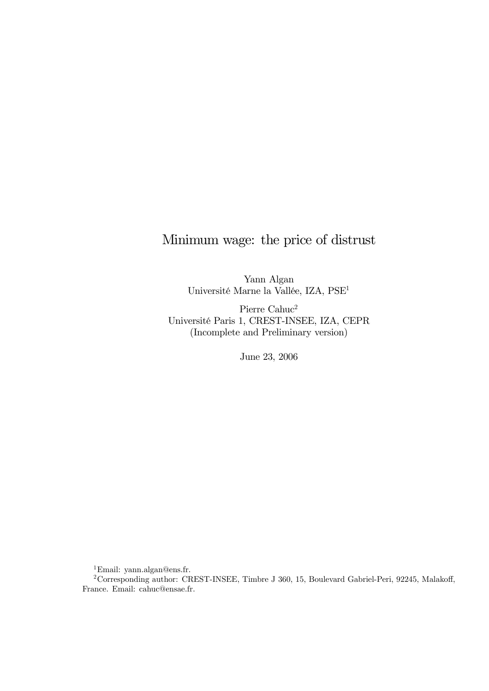# Minimum wage: the price of distrust

Yann Algan Université Marne la Vallée, IZA, PSE1

Pierre Cahuc<sup>2</sup> Université Paris 1, CREST-INSEE, IZA, CEPR (Incomplete and Preliminary version)

June 23, 2006

1Email: yann.algan@ens.fr.

<sup>&</sup>lt;sup>2</sup>Corresponding author: CREST-INSEE, Timbre J 360, 15, Boulevard Gabriel-Peri, 92245, Malakoff, France. Email: cahuc@ensae.fr.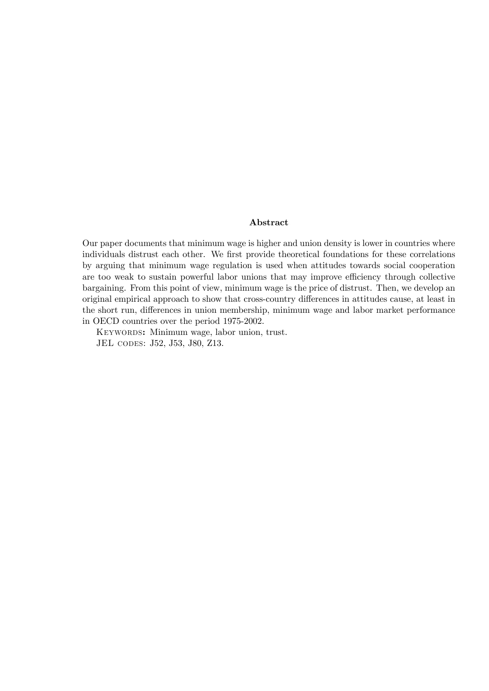### Abstract

Our paper documents that minimum wage is higher and union density is lower in countries where individuals distrust each other. We first provide theoretical foundations for these correlations by arguing that minimum wage regulation is used when attitudes towards social cooperation are too weak to sustain powerful labor unions that may improve efficiency through collective bargaining. From this point of view, minimum wage is the price of distrust. Then, we develop an original empirical approach to show that cross-country differences in attitudes cause, at least in the short run, differences in union membership, minimum wage and labor market performance in OECD countries over the period 1975-2002.

KEYWORDS: Minimum wage, labor union, trust. JEL codes: J52, J53, J80, Z13.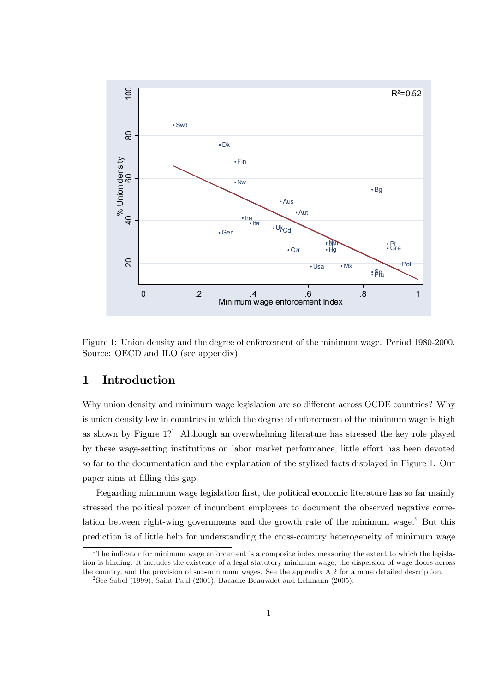

Figure 1: Union density and the degree of enforcement of the minimum wage. Period 1980-2000. Source: OECD and ILO (see appendix).

# 1 Introduction

Why union density and minimum wage legislation are so different across OCDE countries? Why is union density low in countries in which the degree of enforcement of the minimum wage is high as shown by Figure  $1$ <sup>2</sup> Although an overwhelming literature has stressed the key role played by these wage-setting institutions on labor market performance, little effort has been devoted so far to the documentation and the explanation of the stylized facts displayed in Figure 1. Our paper aims at filling this gap.

Regarding minimum wage legislation first, the political economic literature has so far mainly stressed the political power of incumbent employees to document the observed negative correlation between right-wing governments and the growth rate of the minimum wage.<sup>2</sup> But this prediction is of little help for understanding the cross-country heterogeneity of minimum wage

<sup>&</sup>lt;sup>1</sup>The indicator for minimum wage enforcement is a composite index measuring the extent to which the legislation is binding. It includes the existence of a legal statutory minimum wage, the dispersion of wage floors across the country, and the provision of sub-minimum wages. See the appendix A.2 for a more detailed description.

<sup>&</sup>lt;sup>2</sup>See Sobel (1999), Saint-Paul (2001), Bacache-Beauvalet and Lehmann (2005).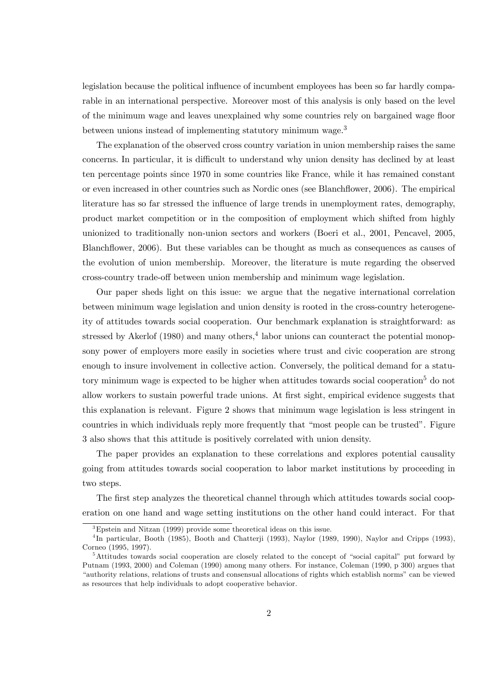legislation because the political influence of incumbent employees has been so far hardly comparable in an international perspective. Moreover most of this analysis is only based on the level of the minimum wage and leaves unexplained why some countries rely on bargained wage floor between unions instead of implementing statutory minimum wage.<sup>3</sup>

The explanation of the observed cross country variation in union membership raises the same concerns. In particular, it is difficult to understand why union density has declined by at least ten percentage points since 1970 in some countries like France, while it has remained constant or even increased in other countries such as Nordic ones (see Blanchflower, 2006). The empirical literature has so far stressed the influence of large trends in unemployment rates, demography, product market competition or in the composition of employment which shifted from highly unionized to traditionally non-union sectors and workers (Boeri et al., 2001, Pencavel, 2005, Blanchflower, 2006). But these variables can be thought as much as consequences as causes of the evolution of union membership. Moreover, the literature is mute regarding the observed cross-country trade-off between union membership and minimum wage legislation.

Our paper sheds light on this issue: we argue that the negative international correlation between minimum wage legislation and union density is rooted in the cross-country heterogeneity of attitudes towards social cooperation. Our benchmark explanation is straightforward: as stressed by Akerlof  $(1980)$  and many others,<sup>4</sup> labor unions can counteract the potential monopsony power of employers more easily in societies where trust and civic cooperation are strong enough to insure involvement in collective action. Conversely, the political demand for a statutory minimum wage is expected to be higher when attitudes towards social cooperation<sup>5</sup> do not allow workers to sustain powerful trade unions. At first sight, empirical evidence suggests that this explanation is relevant. Figure 2 shows that minimum wage legislation is less stringent in countries in which individuals reply more frequently that "most people can be trusted". Figure 3 also shows that this attitude is positively correlated with union density.

The paper provides an explanation to these correlations and explores potential causality going from attitudes towards social cooperation to labor market institutions by proceeding in two steps.

The first step analyzes the theoretical channel through which attitudes towards social cooperation on one hand and wage setting institutions on the other hand could interact. For that

<sup>3</sup>Epstein and Nitzan (1999) provide some theoretical ideas on this issue.

<sup>&</sup>lt;sup>4</sup>In particular, Booth (1985), Booth and Chatterji (1993), Naylor (1989, 1990), Naylor and Cripps (1993), Corneo (1995, 1997).

<sup>5</sup>Attitudes towards social cooperation are closely related to the concept of "social capital" put forward by Putnam (1993, 2000) and Coleman (1990) among many others. For instance, Coleman (1990, p 300) argues that "authority relations, relations of trusts and consensual allocations of rights which establish norms" can be viewed as resources that help individuals to adopt cooperative behavior.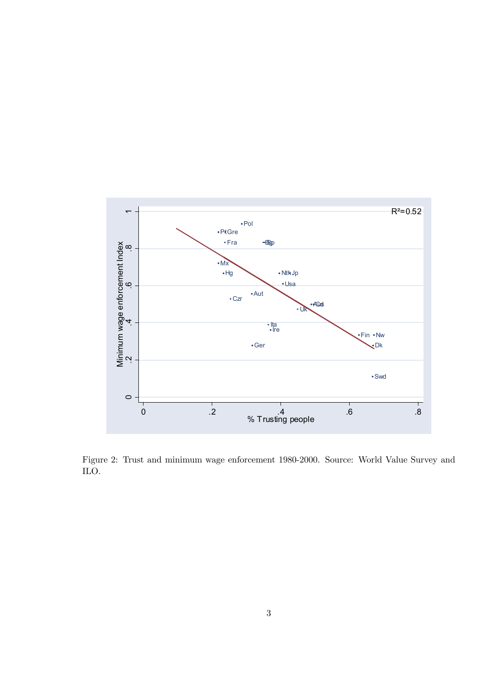

Figure 2: Trust and minimum wage enforcement 1980-2000. Source: World Value Survey and ILO.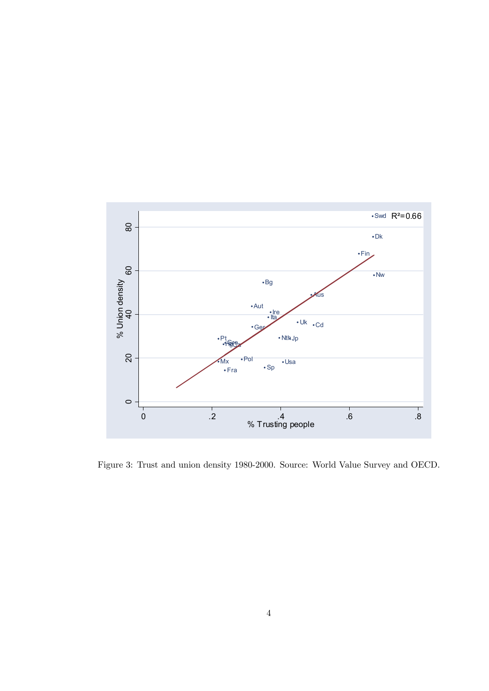

Figure 3: Trust and union density 1980-2000. Source: World Value Survey and OECD.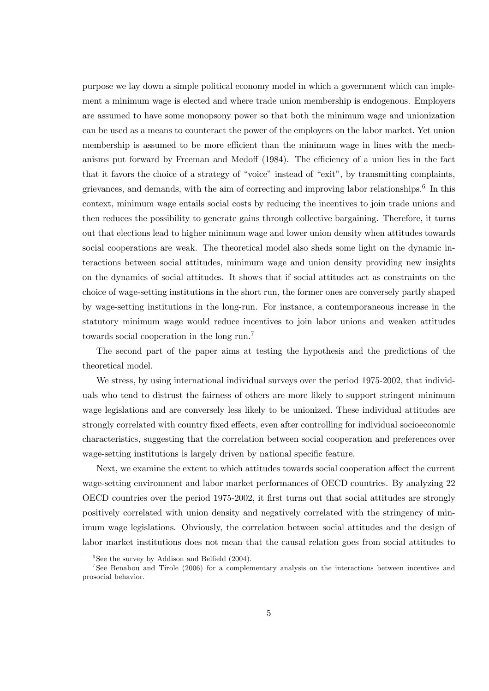purpose we lay down a simple political economy model in which a government which can implement a minimum wage is elected and where trade union membership is endogenous. Employers are assumed to have some monopsony power so that both the minimum wage and unionization can be used as a means to counteract the power of the employers on the labor market. Yet union membership is assumed to be more efficient than the minimum wage in lines with the mechanisms put forward by Freeman and Medoff (1984). The efficiency of a union lies in the fact that it favors the choice of a strategy of "voice" instead of "exit", by transmitting complaints, grievances, and demands, with the aim of correcting and improving labor relationships.<sup>6</sup> In this context, minimum wage entails social costs by reducing the incentives to join trade unions and then reduces the possibility to generate gains through collective bargaining. Therefore, it turns out that elections lead to higher minimum wage and lower union density when attitudes towards social cooperations are weak. The theoretical model also sheds some light on the dynamic interactions between social attitudes, minimum wage and union density providing new insights on the dynamics of social attitudes. It shows that if social attitudes act as constraints on the choice of wage-setting institutions in the short run, the former ones are conversely partly shaped by wage-setting institutions in the long-run. For instance, a contemporaneous increase in the statutory minimum wage would reduce incentives to join labor unions and weaken attitudes towards social cooperation in the long run.7

The second part of the paper aims at testing the hypothesis and the predictions of the theoretical model.

We stress, by using international individual surveys over the period 1975-2002, that individuals who tend to distrust the fairness of others are more likely to support stringent minimum wage legislations and are conversely less likely to be unionized. These individual attitudes are strongly correlated with country fixed effects, even after controlling for individual socioeconomic characteristics, suggesting that the correlation between social cooperation and preferences over wage-setting institutions is largely driven by national specific feature.

Next, we examine the extent to which attitudes towards social cooperation affect the current wage-setting environment and labor market performances of OECD countries. By analyzing 22 OECD countries over the period 1975-2002, it first turns out that social attitudes are strongly positively correlated with union density and negatively correlated with the stringency of minimum wage legislations. Obviously, the correlation between social attitudes and the design of labor market institutions does not mean that the causal relation goes from social attitudes to

 ${}^{6}$ See the survey by Addison and Belfield (2004).

<sup>7</sup>See Benabou and Tirole (2006) for a complementary analysis on the interactions between incentives and prosocial behavior.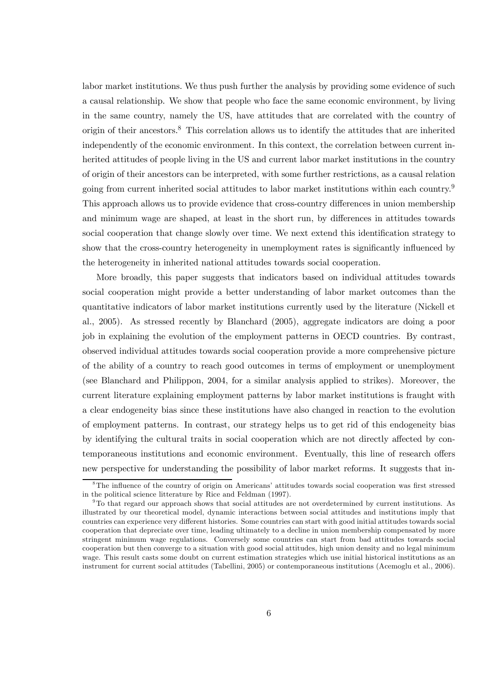labor market institutions. We thus push further the analysis by providing some evidence of such a causal relationship. We show that people who face the same economic environment, by living in the same country, namely the US, have attitudes that are correlated with the country of origin of their ancestors.<sup>8</sup> This correlation allows us to identify the attitudes that are inherited independently of the economic environment. In this context, the correlation between current inherited attitudes of people living in the US and current labor market institutions in the country of origin of their ancestors can be interpreted, with some further restrictions, as a causal relation going from current inherited social attitudes to labor market institutions within each country.<sup>9</sup> This approach allows us to provide evidence that cross-country differences in union membership and minimum wage are shaped, at least in the short run, by differences in attitudes towards social cooperation that change slowly over time. We next extend this identification strategy to show that the cross-country heterogeneity in unemployment rates is significantly influenced by the heterogeneity in inherited national attitudes towards social cooperation.

More broadly, this paper suggests that indicators based on individual attitudes towards social cooperation might provide a better understanding of labor market outcomes than the quantitative indicators of labor market institutions currently used by the literature (Nickell et al., 2005). As stressed recently by Blanchard (2005), aggregate indicators are doing a poor job in explaining the evolution of the employment patterns in OECD countries. By contrast, observed individual attitudes towards social cooperation provide a more comprehensive picture of the ability of a country to reach good outcomes in terms of employment or unemployment (see Blanchard and Philippon, 2004, for a similar analysis applied to strikes). Moreover, the current literature explaining employment patterns by labor market institutions is fraught with a clear endogeneity bias since these institutions have also changed in reaction to the evolution of employment patterns. In contrast, our strategy helps us to get rid of this endogeneity bias by identifying the cultural traits in social cooperation which are not directly affected by contemporaneous institutions and economic environment. Eventually, this line of research offers new perspective for understanding the possibility of labor market reforms. It suggests that in-

<sup>8</sup>The influence of the country of origin on Americans' attitudes towards social cooperation was first stressed in the political science litterature by Rice and Feldman (1997).

<sup>9</sup>To that regard our approach shows that social attitudes are not overdetermined by current institutions. As illustrated by our theoretical model, dynamic interactions between social attitudes and institutions imply that countries can experience very different histories. Some countries can start with good initial attitudes towards social cooperation that depreciate over time, leading ultimately to a decline in union membership compensated by more stringent minimum wage regulations. Conversely some countries can start from bad attitudes towards social cooperation but then converge to a situation with good social attitudes, high union density and no legal minimum wage. This result casts some doubt on current estimation strategies which use initial historical institutions as an instrument for current social attitudes (Tabellini, 2005) or contemporaneous institutions (Acemoglu et al., 2006).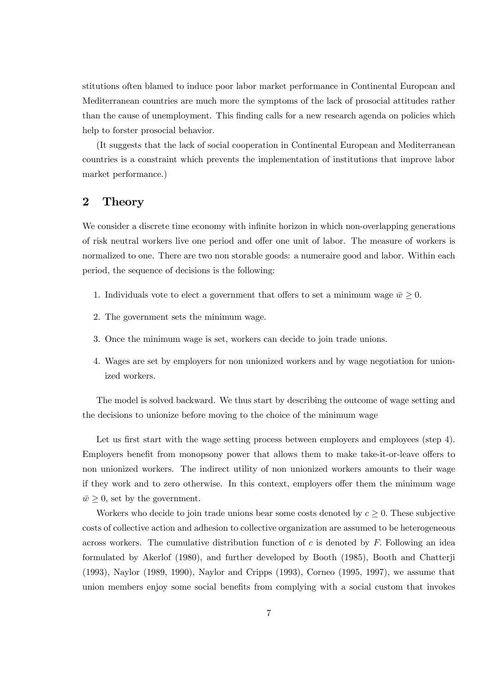stitutions often blamed to induce poor labor market performance in Continental European and Mediterranean countries are much more the symptoms of the lack of prosocial attitudes rather than the cause of unemployment. This finding calls for a new research agenda on policies which help to forster prosocial behavior.

(It suggests that the lack of social cooperation in Continental European and Mediterranean countries is a constraint which prevents the implementation of institutions that improve labor market performance.)

# 2 Theory

We consider a discrete time economy with infinite horizon in which non-overlapping generations of risk neutral workers live one period and offer one unit of labor. The measure of workers is normalized to one. There are two non storable goods: a numeraire good and labor. Within each period, the sequence of decisions is the following:

- 1. Individuals vote to elect a government that offers to set a minimum wage  $\bar{w} \geq 0$ .
- 2. The government sets the minimum wage.
- 3. Once the minimum wage is set, workers can decide to join trade unions.
- 4. Wages are set by employers for non unionized workers and by wage negotiation for unionized workers.

The model is solved backward. We thus start by describing the outcome of wage setting and the decisions to unionize before moving to the choice of the minimum wage

Let us first start with the wage setting process between employers and employees (step 4). Employers benefit from monopsony power that allows them to make take-it-or-leave offers to non unionized workers. The indirect utility of non unionized workers amounts to their wage if they work and to zero otherwise. In this context, employers offer them the minimum wage  $\bar{w} \geq 0$ , set by the government.

Workers who decide to join trade unions bear some costs denoted by  $c \geq 0$ . These subjective costs of collective action and adhesion to collective organization are assumed to be heterogeneous across workers. The cumulative distribution function of  $c$  is denoted by  $F$ . Following an idea formulated by Akerlof (1980), and further developed by Booth (1985), Booth and Chatterji (1993), Naylor (1989, 1990), Naylor and Cripps (1993), Corneo (1995, 1997), we assume that union members enjoy some social benefits from complying with a social custom that invokes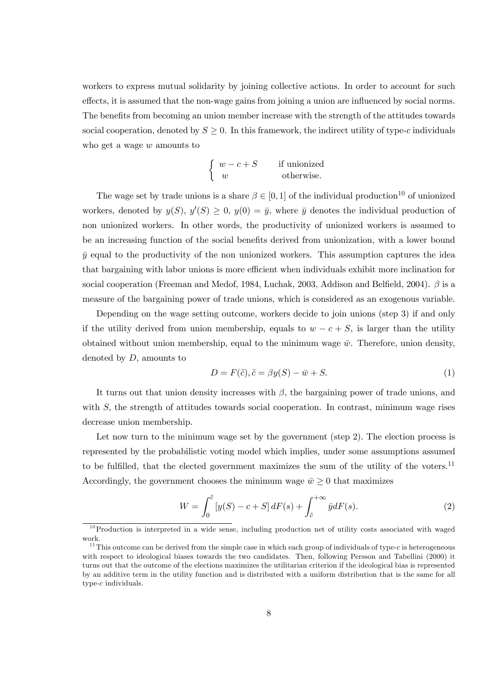workers to express mutual solidarity by joining collective actions. In order to account for such effects, it is assumed that the non-wage gains from joining a union are influenced by social norms. The benefits from becoming an union member increase with the strength of the attitudes towards social cooperation, denoted by  $S \geq 0$ . In this framework, the indirect utility of type-c individuals who get a wage w amounts to

$$
\begin{cases}\nw - c + S & \text{if unionized} \\
w & \text{otherwise.} \n\end{cases}
$$

The wage set by trade unions is a share  $\beta \in [0, 1]$  of the individual production<sup>10</sup> of unionized workers, denoted by  $y(S)$ ,  $y'(S) \geq 0$ ,  $y(0) = \bar{y}$ , where  $\bar{y}$  denotes the individual production of non unionized workers. In other words, the productivity of unionized workers is assumed to be an increasing function of the social benefits derived from unionization, with a lower bound  $\bar{y}$  equal to the productivity of the non unionized workers. This assumption captures the idea that bargaining with labor unions is more efficient when individuals exhibit more inclination for social cooperation (Freeman and Medof, 1984, Luchak, 2003, Addison and Belfield, 2004). β is a measure of the bargaining power of trade unions, which is considered as an exogenous variable.

Depending on the wage setting outcome, workers decide to join unions (step 3) if and only if the utility derived from union membership, equals to  $w - c + S$ , is larger than the utility obtained without union membership, equal to the minimum wage  $\bar{w}$ . Therefore, union density, denoted by  $D$ , amounts to

$$
D = F(\tilde{c}), \tilde{c} = \beta y(S) - \bar{w} + S. \tag{1}
$$

It turns out that union density increases with  $\beta$ , the bargaining power of trade unions, and with S, the strength of attitudes towards social cooperation. In contrast, minimum wage rises decrease union membership.

Let now turn to the minimum wage set by the government (step 2). The election process is represented by the probabilistic voting model which implies, under some assumptions assumed to be fulfilled, that the elected government maximizes the sum of the utility of the voters.<sup>11</sup> Accordingly, the government chooses the minimum wage  $\bar{w} \geq 0$  that maximizes

$$
W = \int_0^{\tilde{c}} \left[ y(S) - c + S \right] dF(s) + \int_{\tilde{c}}^{+\infty} \bar{y} dF(s).
$$
 (2)

 $10$ Production is interpreted in a wide sense, including production net of utility costs associated with waged work.

<sup>&</sup>lt;sup>11</sup>This outcome can be derived from the simple case in which each group of individuals of type-c is heterogeneous with respect to ideological biases towards the two candidates. Then, following Persson and Tabellini (2000) it turns out that the outcome of the elections maximizes the utilitarian criterion if the ideological bias is represented by an additive term in the utility function and is distributed with a uniform distribution that is the same for all type-c individuals.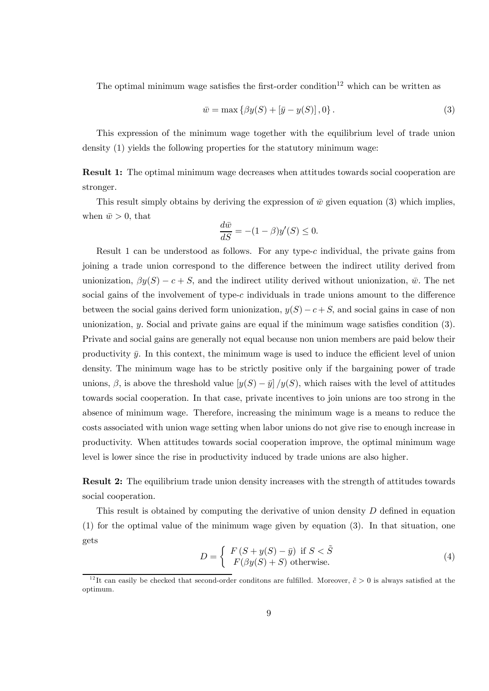The optimal minimum wage satisfies the first-order condition<sup>12</sup> which can be written as

$$
\bar{w} = \max \{ \beta y(S) + [\bar{y} - y(S)], 0 \}.
$$
 (3)

This expression of the minimum wage together with the equilibrium level of trade union density (1) yields the following properties for the statutory minimum wage:

Result 1: The optimal minimum wage decreases when attitudes towards social cooperation are stronger.

This result simply obtains by deriving the expression of  $\bar{w}$  given equation (3) which implies, when  $\bar{w} > 0$ , that

$$
\frac{d\bar{w}}{dS} = -(1 - \beta)y'(S) \le 0.
$$

Result 1 can be understood as follows. For any type-c individual, the private gains from joining a trade union correspond to the difference between the indirect utility derived from unionization,  $\beta y(S) - c + S$ , and the indirect utility derived without unionization,  $\bar{w}$ . The net social gains of the involvement of type-c individuals in trade unions amount to the difference between the social gains derived form unionization,  $y(S) - c + S$ , and social gains in case of non unionization, y. Social and private gains are equal if the minimum wage satisfies condition (3). Private and social gains are generally not equal because non union members are paid below their productivity  $\bar{y}$ . In this context, the minimum wage is used to induce the efficient level of union density. The minimum wage has to be strictly positive only if the bargaining power of trade unions,  $\beta$ , is above the threshold value  $[y(S) - \bar{y}]/y(S)$ , which raises with the level of attitudes towards social cooperation. In that case, private incentives to join unions are too strong in the absence of minimum wage. Therefore, increasing the minimum wage is a means to reduce the costs associated with union wage setting when labor unions do not give rise to enough increase in productivity. When attitudes towards social cooperation improve, the optimal minimum wage level is lower since the rise in productivity induced by trade unions are also higher.

Result 2: The equilibrium trade union density increases with the strength of attitudes towards social cooperation.

This result is obtained by computing the derivative of union density D defined in equation (1) for the optimal value of the minimum wage given by equation (3). In that situation, one gets

$$
D = \begin{cases} F(S + y(S) - \bar{y}) & \text{if } S < \tilde{S} \\ F(\beta y(S) + S) & \text{otherwise.} \end{cases}
$$
(4)

<sup>&</sup>lt;sup>12</sup>It can easily be checked that second-order conditions are fulfilled. Moreover,  $\tilde{c} > 0$  is always satisfied at the optimum.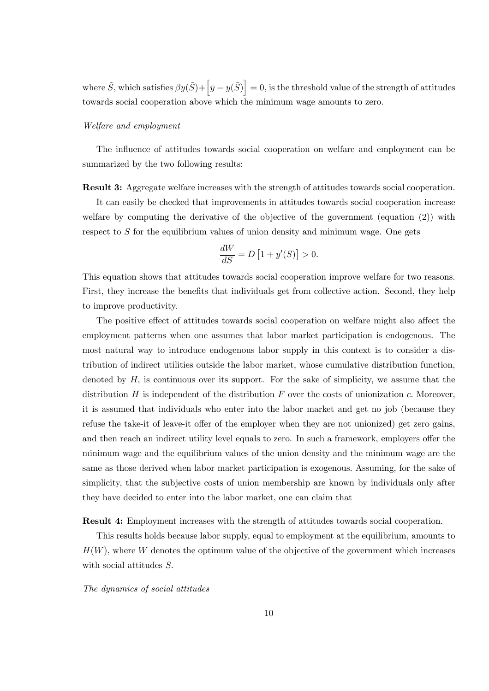where  $\tilde{S}$ , which satisfies  $\beta y(\tilde{S})+\left[\bar{y}-y(\tilde{S})\right]=0$ , is the threshold value of the strength of attitudes towards social cooperation above which the minimum wage amounts to zero.

#### Welfare and employment

The influence of attitudes towards social cooperation on welfare and employment can be summarized by the two following results:

Result 3: Aggregate welfare increases with the strength of attitudes towards social cooperation.

It can easily be checked that improvements in attitudes towards social cooperation increase welfare by computing the derivative of the objective of the government (equation (2)) with respect to  $S$  for the equilibrium values of union density and minimum wage. One gets

$$
\frac{dW}{dS} = D\left[1 + y'(S)\right] > 0.
$$

This equation shows that attitudes towards social cooperation improve welfare for two reasons. First, they increase the benefits that individuals get from collective action. Second, they help to improve productivity.

The positive effect of attitudes towards social cooperation on welfare might also affect the employment patterns when one assumes that labor market participation is endogenous. The most natural way to introduce endogenous labor supply in this context is to consider a distribution of indirect utilities outside the labor market, whose cumulative distribution function, denoted by  $H$ , is continuous over its support. For the sake of simplicity, we assume that the distribution  $H$  is independent of the distribution  $F$  over the costs of unionization  $c$ . Moreover, it is assumed that individuals who enter into the labor market and get no job (because they refuse the take-it of leave-it offer of the employer when they are not unionized) get zero gains, and then reach an indirect utility level equals to zero. In such a framework, employers offer the minimum wage and the equilibrium values of the union density and the minimum wage are the same as those derived when labor market participation is exogenous. Assuming, for the sake of simplicity, that the subjective costs of union membership are known by individuals only after they have decided to enter into the labor market, one can claim that

Result 4: Employment increases with the strength of attitudes towards social cooperation.

This results holds because labor supply, equal to employment at the equilibrium, amounts to  $H(W)$ , where W denotes the optimum value of the objective of the government which increases with social attitudes S.

#### The dynamics of social attitudes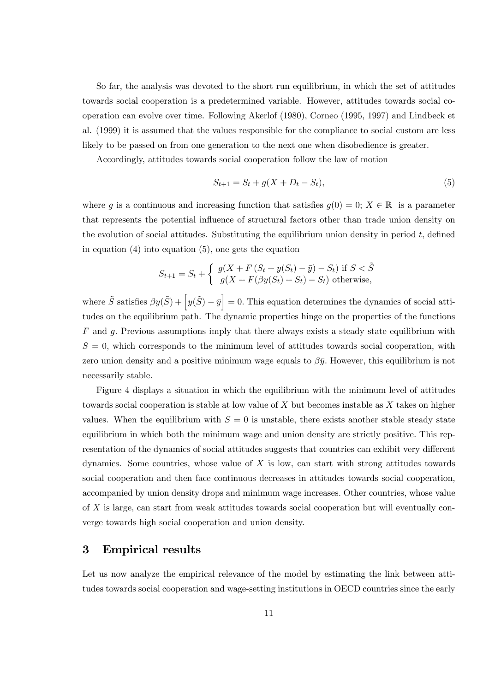So far, the analysis was devoted to the short run equilibrium, in which the set of attitudes towards social cooperation is a predetermined variable. However, attitudes towards social cooperation can evolve over time. Following Akerlof (1980), Corneo (1995, 1997) and Lindbeck et al. (1999) it is assumed that the values responsible for the compliance to social custom are less likely to be passed on from one generation to the next one when disobedience is greater.

Accordingly, attitudes towards social cooperation follow the law of motion

$$
S_{t+1} = S_t + g(X + D_t - S_t),
$$
\n(5)

where g is a continuous and increasing function that satisfies  $g(0) = 0$ ;  $X \in \mathbb{R}$  is a parameter that represents the potential influence of structural factors other than trade union density on the evolution of social attitudes. Substituting the equilibrium union density in period  $t$ , defined in equation  $(4)$  into equation  $(5)$ , one gets the equation

$$
S_{t+1} = S_t + \begin{cases} g(X + F(S_t + y(S_t) - \bar{y}) - S_t) & \text{if } S < \tilde{S} \\ g(X + F(\beta y(S_t) + S_t) - S_t) & \text{otherwise,} \end{cases}
$$

where  $\tilde{S}$  satisfies  $\beta y(\tilde{S}) + \left[y(\tilde{S}) - \bar{y}\right] = 0$ . This equation determines the dynamics of social attitudes on the equilibrium path. The dynamic properties hinge on the properties of the functions  $F$  and  $g$ . Previous assumptions imply that there always exists a steady state equilibrium with  $S = 0$ , which corresponds to the minimum level of attitudes towards social cooperation, with zero union density and a positive minimum wage equals to  $\beta \bar{y}$ . However, this equilibrium is not necessarily stable.

Figure 4 displays a situation in which the equilibrium with the minimum level of attitudes towards social cooperation is stable at low value of  $X$  but becomes instable as  $X$  takes on higher values. When the equilibrium with  $S = 0$  is unstable, there exists another stable steady state equilibrium in which both the minimum wage and union density are strictly positive. This representation of the dynamics of social attitudes suggests that countries can exhibit very different dynamics. Some countries, whose value of  $X$  is low, can start with strong attitudes towards social cooperation and then face continuous decreases in attitudes towards social cooperation, accompanied by union density drops and minimum wage increases. Other countries, whose value of X is large, can start from weak attitudes towards social cooperation but will eventually converge towards high social cooperation and union density.

# 3 Empirical results

Let us now analyze the empirical relevance of the model by estimating the link between attitudes towards social cooperation and wage-setting institutions in OECD countries since the early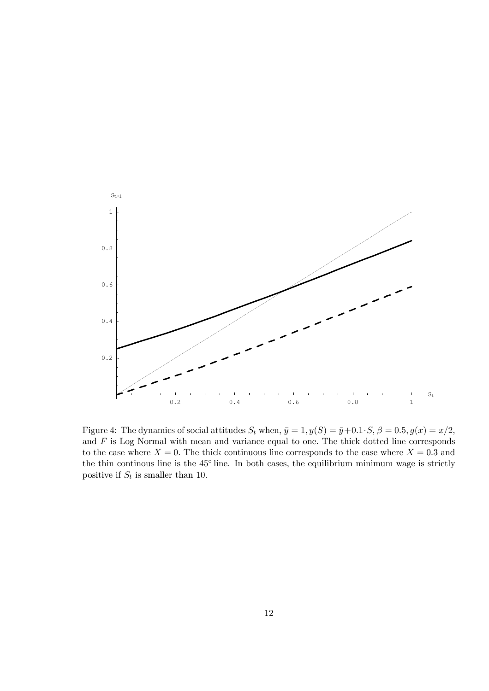

Figure 4: The dynamics of social attitudes  $S_t$  when,  $\bar{y}=1, y(S)=\bar{y}+0.1\cdot S, \beta=0.5, g(x)=x/2,$ and  $F$  is Log Normal with mean and variance equal to one. The thick dotted line corresponds to the case where  $X = 0$ . The thick continuous line corresponds to the case where  $X = 0.3$  and the thin continous line is the 45◦ line. In both cases, the equilibrium minimum wage is strictly positive if  $S_t$  is smaller than 10.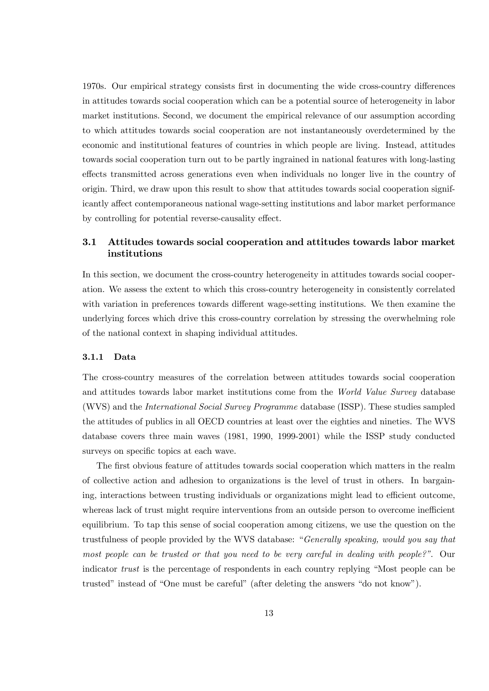1970s. Our empirical strategy consists first in documenting the wide cross-country differences in attitudes towards social cooperation which can be a potential source of heterogeneity in labor market institutions. Second, we document the empirical relevance of our assumption according to which attitudes towards social cooperation are not instantaneously overdetermined by the economic and institutional features of countries in which people are living. Instead, attitudes towards social cooperation turn out to be partly ingrained in national features with long-lasting effects transmitted across generations even when individuals no longer live in the country of origin. Third, we draw upon this result to show that attitudes towards social cooperation significantly affect contemporaneous national wage-setting institutions and labor market performance by controlling for potential reverse-causality effect.

## 3.1 Attitudes towards social cooperation and attitudes towards labor market institutions

In this section, we document the cross-country heterogeneity in attitudes towards social cooperation. We assess the extent to which this cross-country heterogeneity in consistently correlated with variation in preferences towards different wage-setting institutions. We then examine the underlying forces which drive this cross-country correlation by stressing the overwhelming role of the national context in shaping individual attitudes.

#### 3.1.1 Data

The cross-country measures of the correlation between attitudes towards social cooperation and attitudes towards labor market institutions come from the World Value Survey database (WVS) and the International Social Survey Programme database (ISSP). These studies sampled the attitudes of publics in all OECD countries at least over the eighties and nineties. The WVS database covers three main waves (1981, 1990, 1999-2001) while the ISSP study conducted surveys on specific topics at each wave.

The first obvious feature of attitudes towards social cooperation which matters in the realm of collective action and adhesion to organizations is the level of trust in others. In bargaining, interactions between trusting individuals or organizations might lead to efficient outcome, whereas lack of trust might require interventions from an outside person to overcome inefficient equilibrium. To tap this sense of social cooperation among citizens, we use the question on the trustfulness of people provided by the WVS database: "Generally speaking, would you say that most people can be trusted or that you need to be very careful in dealing with people?". Our indicator trust is the percentage of respondents in each country replying "Most people can be trusted" instead of "One must be careful" (after deleting the answers "do not know").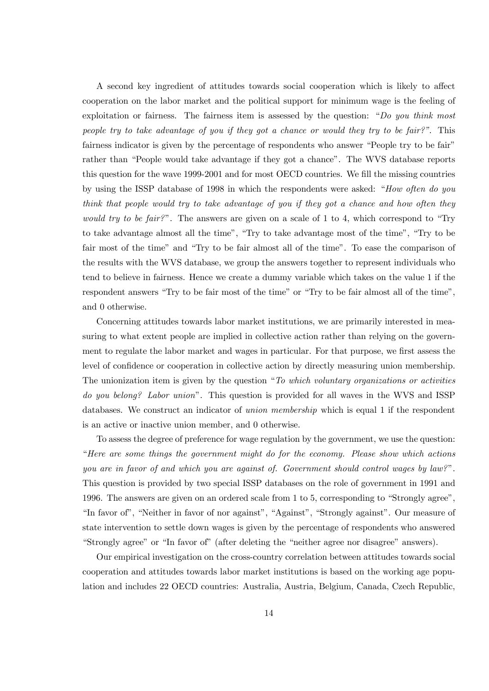A second key ingredient of attitudes towards social cooperation which is likely to affect cooperation on the labor market and the political support for minimum wage is the feeling of exploitation or fairness. The fairness item is assessed by the question: "Do you think most people try to take advantage of you if they got a chance or would they try to be fair?". This fairness indicator is given by the percentage of respondents who answer "People try to be fair" rather than "People would take advantage if they got a chance". The WVS database reports this question for the wave 1999-2001 and for most OECD countries. We fill the missing countries by using the ISSP database of 1998 in which the respondents were asked: "How often do you think that people would try to take advantage of you if they got a chance and how often they would try to be fair?". The answers are given on a scale of 1 to 4, which correspond to "Try" to take advantage almost all the time", "Try to take advantage most of the time", "Try to be fair most of the time" and "Try to be fair almost all of the time". To ease the comparison of the results with the WVS database, we group the answers together to represent individuals who tend to believe in fairness. Hence we create a dummy variable which takes on the value 1 if the respondent answers "Try to be fair most of the time" or "Try to be fair almost all of the time", and 0 otherwise.

Concerning attitudes towards labor market institutions, we are primarily interested in measuring to what extent people are implied in collective action rather than relying on the government to regulate the labor market and wages in particular. For that purpose, we first assess the level of confidence or cooperation in collective action by directly measuring union membership. The unionization item is given by the question "To which voluntary organizations or activities" do you belong? Labor union". This question is provided for all waves in the WVS and ISSP databases. We construct an indicator of union membership which is equal 1 if the respondent is an active or inactive union member, and 0 otherwise.

To assess the degree of preference for wage regulation by the government, we use the question: "Here are some things the government might do for the economy. Please show which actions you are in favor of and which you are against of. Government should control wages by law?". This question is provided by two special ISSP databases on the role of government in 1991 and 1996. The answers are given on an ordered scale from 1 to 5, corresponding to "Strongly agree", "In favor of", "Neither in favor of nor against", "Against", "Strongly against". Our measure of state intervention to settle down wages is given by the percentage of respondents who answered "Strongly agree" or "In favor of" (after deleting the "neither agree nor disagree" answers).

Our empirical investigation on the cross-country correlation between attitudes towards social cooperation and attitudes towards labor market institutions is based on the working age population and includes 22 OECD countries: Australia, Austria, Belgium, Canada, Czech Republic,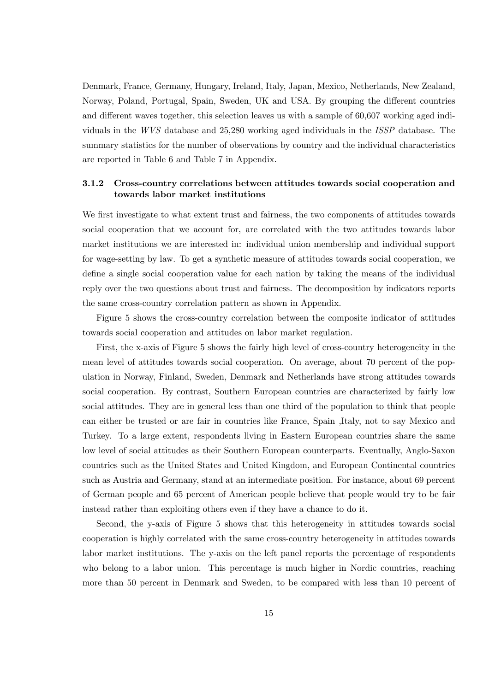Denmark, France, Germany, Hungary, Ireland, Italy, Japan, Mexico, Netherlands, New Zealand, Norway, Poland, Portugal, Spain, Sweden, UK and USA. By grouping the different countries and different waves together, this selection leaves us with a sample of 60,607 working aged individuals in the WVS database and 25,280 working aged individuals in the ISSP database. The summary statistics for the number of observations by country and the individual characteristics are reported in Table 6 and Table 7 in Appendix.

### 3.1.2 Cross-country correlations between attitudes towards social cooperation and towards labor market institutions

We first investigate to what extent trust and fairness, the two components of attitudes towards social cooperation that we account for, are correlated with the two attitudes towards labor market institutions we are interested in: individual union membership and individual support for wage-setting by law. To get a synthetic measure of attitudes towards social cooperation, we define a single social cooperation value for each nation by taking the means of the individual reply over the two questions about trust and fairness. The decomposition by indicators reports the same cross-country correlation pattern as shown in Appendix.

Figure 5 shows the cross-country correlation between the composite indicator of attitudes towards social cooperation and attitudes on labor market regulation.

First, the x-axis of Figure 5 shows the fairly high level of cross-country heterogeneity in the mean level of attitudes towards social cooperation. On average, about 70 percent of the population in Norway, Finland, Sweden, Denmark and Netherlands have strong attitudes towards social cooperation. By contrast, Southern European countries are characterized by fairly low social attitudes. They are in general less than one third of the population to think that people can either be trusted or are fair in countries like France, Spain ,Italy, not to say Mexico and Turkey. To a large extent, respondents living in Eastern European countries share the same low level of social attitudes as their Southern European counterparts. Eventually, Anglo-Saxon countries such as the United States and United Kingdom, and European Continental countries such as Austria and Germany, stand at an intermediate position. For instance, about 69 percent of German people and 65 percent of American people believe that people would try to be fair instead rather than exploiting others even if they have a chance to do it.

Second, the y-axis of Figure 5 shows that this heterogeneity in attitudes towards social cooperation is highly correlated with the same cross-country heterogeneity in attitudes towards labor market institutions. The y-axis on the left panel reports the percentage of respondents who belong to a labor union. This percentage is much higher in Nordic countries, reaching more than 50 percent in Denmark and Sweden, to be compared with less than 10 percent of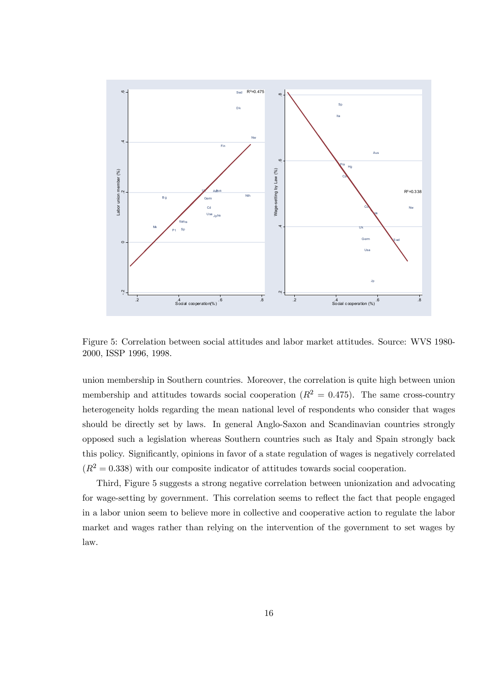

Figure 5: Correlation between social attitudes and labor market attitudes. Source: WVS 1980- 2000, ISSP 1996, 1998.

union membership in Southern countries. Moreover, the correlation is quite high between union membership and attitudes towards social cooperation  $(R^2 = 0.475)$ . The same cross-country heterogeneity holds regarding the mean national level of respondents who consider that wages should be directly set by laws. In general Anglo-Saxon and Scandinavian countries strongly opposed such a legislation whereas Southern countries such as Italy and Spain strongly back this policy. Significantly, opinions in favor of a state regulation of wages is negatively correlated  $(R^2 = 0.338)$  with our composite indicator of attitudes towards social cooperation.

Third, Figure 5 suggests a strong negative correlation between unionization and advocating for wage-setting by government. This correlation seems to reflect the fact that people engaged in a labor union seem to believe more in collective and cooperative action to regulate the labor market and wages rather than relying on the intervention of the government to set wages by law.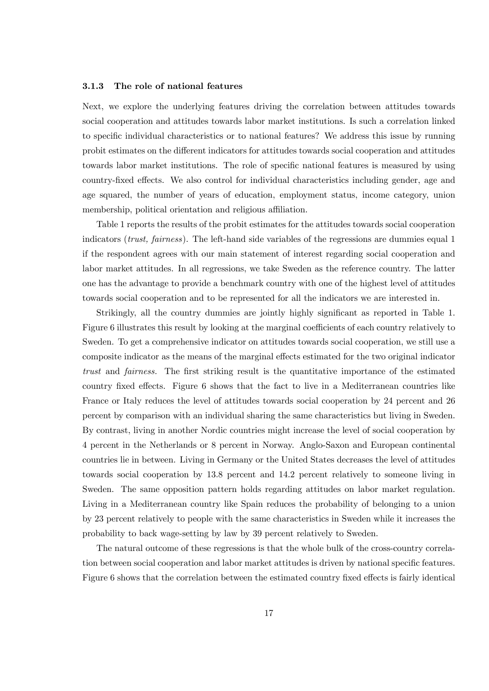#### 3.1.3 The role of national features

Next, we explore the underlying features driving the correlation between attitudes towards social cooperation and attitudes towards labor market institutions. Is such a correlation linked to specific individual characteristics or to national features? We address this issue by running probit estimates on the different indicators for attitudes towards social cooperation and attitudes towards labor market institutions. The role of specific national features is measured by using country-fixed effects. We also control for individual characteristics including gender, age and age squared, the number of years of education, employment status, income category, union membership, political orientation and religious affiliation.

Table 1 reports the results of the probit estimates for the attitudes towards social cooperation indicators *(trust, fairness)*. The left-hand side variables of the regressions are dummies equal 1 if the respondent agrees with our main statement of interest regarding social cooperation and labor market attitudes. In all regressions, we take Sweden as the reference country. The latter one has the advantage to provide a benchmark country with one of the highest level of attitudes towards social cooperation and to be represented for all the indicators we are interested in.

Strikingly, all the country dummies are jointly highly significant as reported in Table 1. Figure 6 illustrates this result by looking at the marginal coefficients of each country relatively to Sweden. To get a comprehensive indicator on attitudes towards social cooperation, we still use a composite indicator as the means of the marginal effects estimated for the two original indicator trust and fairness. The first striking result is the quantitative importance of the estimated country fixed effects. Figure 6 shows that the fact to live in a Mediterranean countries like France or Italy reduces the level of attitudes towards social cooperation by 24 percent and 26 percent by comparison with an individual sharing the same characteristics but living in Sweden. By contrast, living in another Nordic countries might increase the level of social cooperation by 4 percent in the Netherlands or 8 percent in Norway. Anglo-Saxon and European continental countries lie in between. Living in Germany or the United States decreases the level of attitudes towards social cooperation by 13.8 percent and 14.2 percent relatively to someone living in Sweden. The same opposition pattern holds regarding attitudes on labor market regulation. Living in a Mediterranean country like Spain reduces the probability of belonging to a union by 23 percent relatively to people with the same characteristics in Sweden while it increases the probability to back wage-setting by law by 39 percent relatively to Sweden.

The natural outcome of these regressions is that the whole bulk of the cross-country correlation between social cooperation and labor market attitudes is driven by national specific features. Figure 6 shows that the correlation between the estimated country fixed effects is fairly identical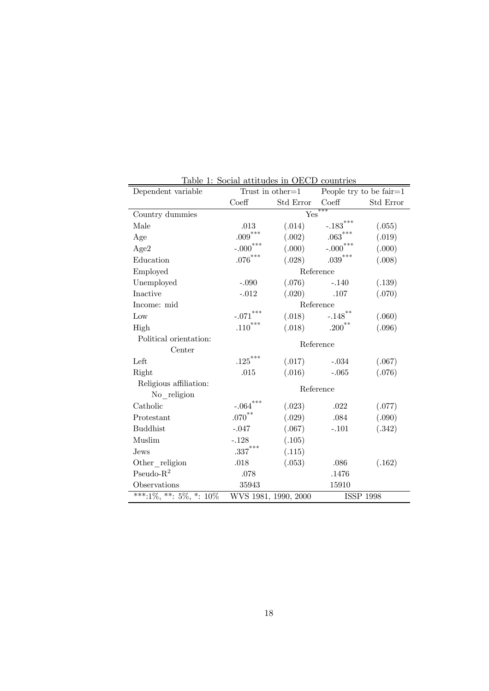| Dependent variable                   | Table 1: Social attitudes in OECD countries | Trust in other= $1$ People try to be fair= $1$ |                        |                  |  |
|--------------------------------------|---------------------------------------------|------------------------------------------------|------------------------|------------------|--|
|                                      | Coeff                                       | Std Error                                      | $\mathrm{Coeff}$       | Std Error        |  |
| Country dummies                      |                                             |                                                | Yes                    |                  |  |
| Male                                 | .013                                        | (.014)                                         | $-.183$ <sup>***</sup> | (.055)           |  |
| Age                                  | $.009^{***}$                                | (.002)                                         | $.063^{***}\,$         | (.019)           |  |
| Age2                                 | $-.000***$                                  | (000)                                          | $-.000***$             | (.000)           |  |
| Education                            | $.076^{***}\,$                              | (.028)                                         | $.039^{***}$           | (.008)           |  |
| Employed                             |                                             |                                                | Reference              |                  |  |
| Unemployed                           | $-.090$                                     | (.076)                                         | $-.140$                | (.139)           |  |
| Inactive                             | $-.012$                                     |                                                | $(.020)$ .107          | (.070)           |  |
| Income: mid                          |                                             |                                                | Reference              |                  |  |
| Low                                  | $-.071$ ***                                 | (.018)                                         | $-.148$ <sup>**</sup>  | (.060)           |  |
| High                                 | $.110***$                                   | (.018)                                         | $.200***$              | (.096)           |  |
| Political orientation:               | Reference                                   |                                                |                        |                  |  |
| Center                               |                                             |                                                |                        |                  |  |
| Left                                 | $\mathbf{.125}^{***}$                       |                                                | $(.017)$ $-.034$       | (.067)           |  |
| Right                                | .015                                        | (.016)                                         | $-.065$                | (.076)           |  |
| Religious affiliation:               | Reference                                   |                                                |                        |                  |  |
| No religion                          |                                             |                                                |                        |                  |  |
| Catholic                             | $-.064***$                                  | (.023)                                         | .022                   | (.077)           |  |
| Protestant                           | $.070^{**}$                                 | (.029)                                         | .084                   | (.090)           |  |
| <b>Buddhist</b>                      | $-.047$                                     | (.067)                                         | $-.101$                | (.342)           |  |
| Muslim                               | $-.128$                                     | (.105)                                         |                        |                  |  |
| Jews                                 | $.337***$                                   | (.115)                                         |                        |                  |  |
| Other religion                       | .018                                        | (.053)                                         | .086                   | (.162)           |  |
| $Pseudo-R2$                          | .078                                        |                                                | .1476                  |                  |  |
| Observations                         | 35943                                       |                                                | 15910                  |                  |  |
| $\overline{***}$ :1%, **: 5%, *: 10% |                                             | WVS 1981, 1990, 2000                           |                        | <b>ISSP 1998</b> |  |

Table 1: Social attitudes in OECD countries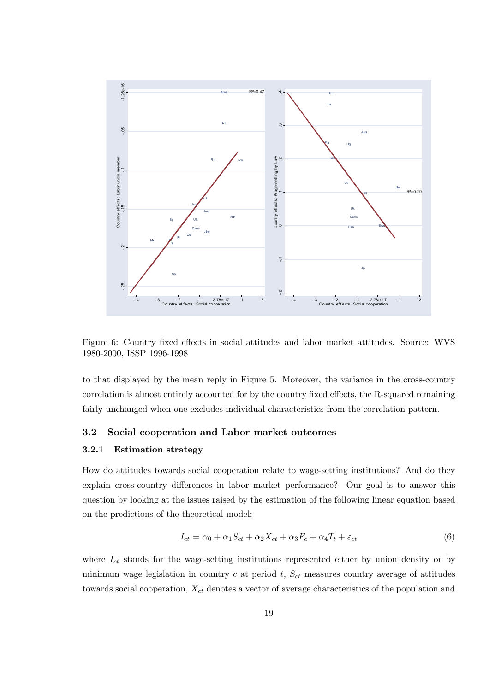

Figure 6: Country fixed effects in social attitudes and labor market attitudes. Source: WVS 1980-2000, ISSP 1996-1998

to that displayed by the mean reply in Figure 5. Moreover, the variance in the cross-country correlation is almost entirely accounted for by the country fixed effects, the R-squared remaining fairly unchanged when one excludes individual characteristics from the correlation pattern.

#### 3.2 Social cooperation and Labor market outcomes

#### 3.2.1 Estimation strategy

How do attitudes towards social cooperation relate to wage-setting institutions? And do they explain cross-country differences in labor market performance? Our goal is to answer this question by looking at the issues raised by the estimation of the following linear equation based on the predictions of the theoretical model:

$$
I_{ct} = \alpha_0 + \alpha_1 S_{ct} + \alpha_2 X_{ct} + \alpha_3 F_c + \alpha_4 T_t + \varepsilon_{ct}
$$
\n
$$
\tag{6}
$$

where  $I_{ct}$  stands for the wage-setting institutions represented either by union density or by minimum wage legislation in country  $c$  at period  $t$ ,  $S_{ct}$  measures country average of attitudes towards social cooperation,  $X_{ct}$  denotes a vector of average characteristics of the population and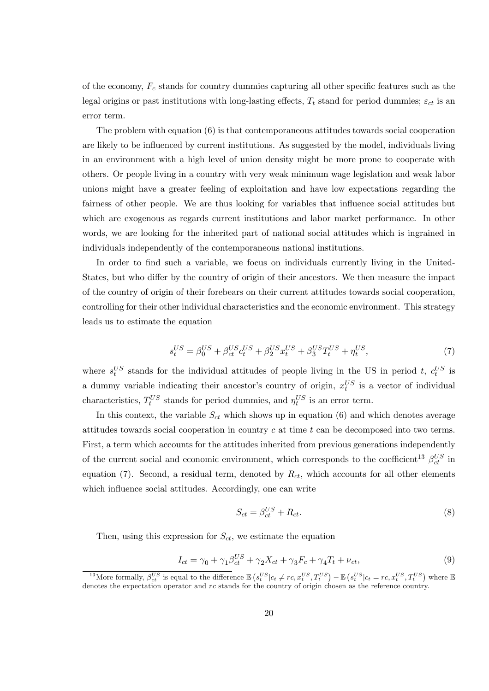of the economy,  $F_c$  stands for country dummies capturing all other specific features such as the legal origins or past institutions with long-lasting effects,  $T_t$  stand for period dummies;  $\varepsilon_{ct}$  is an error term.

The problem with equation (6) is that contemporaneous attitudes towards social cooperation are likely to be influenced by current institutions. As suggested by the model, individuals living in an environment with a high level of union density might be more prone to cooperate with others. Or people living in a country with very weak minimum wage legislation and weak labor unions might have a greater feeling of exploitation and have low expectations regarding the fairness of other people. We are thus looking for variables that influence social attitudes but which are exogenous as regards current institutions and labor market performance. In other words, we are looking for the inherited part of national social attitudes which is ingrained in individuals independently of the contemporaneous national institutions.

In order to find such a variable, we focus on individuals currently living in the United-States, but who differ by the country of origin of their ancestors. We then measure the impact of the country of origin of their forebears on their current attitudes towards social cooperation, controlling for their other individual characteristics and the economic environment. This strategy leads us to estimate the equation

$$
s_t^{US} = \beta_0^{US} + \beta_{ct}^{US} c_t^{US} + \beta_2^{US} x_t^{US} + \beta_3^{US} T_t^{US} + \eta_t^{US},\tag{7}
$$

where  $s_t^{US}$  stands for the individual attitudes of people living in the US in period t,  $c_t^{US}$  is a dummy variable indicating their ancestor's country of origin,  $x_t^{US}$  is a vector of individual characteristics,  $T_t^{US}$  stands for period dummies, and  $\eta_t^{US}$  is an error term.

In this context, the variable  $S_{ct}$  which shows up in equation (6) and which denotes average attitudes towards social cooperation in country  $c$  at time  $t$  can be decomposed into two terms. First, a term which accounts for the attitudes inherited from previous generations independently of the current social and economic environment, which corresponds to the coefficient<sup>13</sup>  $\beta_{ct}^{US}$  in equation (7). Second, a residual term, denoted by  $R_{ct}$ , which accounts for all other elements which influence social attitudes. Accordingly, one can write

$$
S_{ct} = \beta_{ct}^{US} + R_{ct}.\tag{8}
$$

Then, using this expression for  $S_{ct}$ , we estimate the equation

$$
I_{ct} = \gamma_0 + \gamma_1 \beta_{ct}^{US} + \gamma_2 X_{ct} + \gamma_3 F_c + \gamma_4 T_t + \nu_{ct},\tag{9}
$$

<sup>&</sup>lt;sup>13</sup>More formally,  $\beta_{ct}^{US}$  is equal to the difference  $\mathbb{E}\left(s_t^{US}|c_t \neq rc, x_t^{US}, T_t^{US}\right) - \mathbb{E}\left(s_t^{US}|c_t = rc, x_t^{US}, T_t^{US}\right)$  where  $\mathbb{E}\left(s_t^{US}|c_t = rc, x_t^{US}|c_t = rc\right)$ denotes the expectation operator and rc stands for the country of origin chosen as the reference country.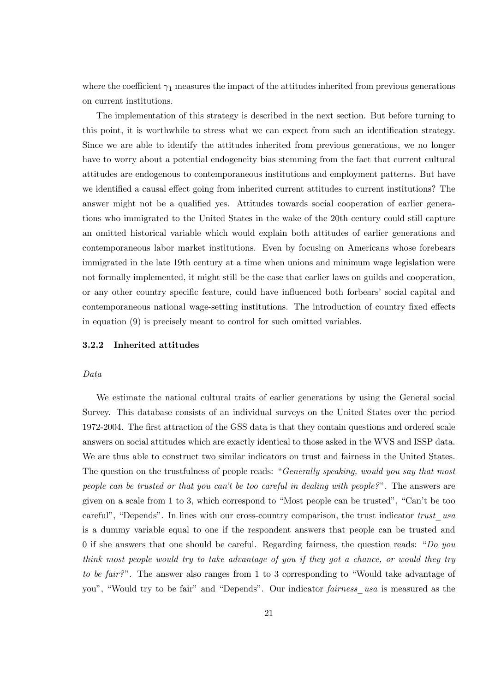where the coefficient  $\gamma_1$  measures the impact of the attitudes inherited from previous generations on current institutions.

The implementation of this strategy is described in the next section. But before turning to this point, it is worthwhile to stress what we can expect from such an identification strategy. Since we are able to identify the attitudes inherited from previous generations, we no longer have to worry about a potential endogeneity bias stemming from the fact that current cultural attitudes are endogenous to contemporaneous institutions and employment patterns. But have we identified a causal effect going from inherited current attitudes to current institutions? The answer might not be a qualified yes. Attitudes towards social cooperation of earlier generations who immigrated to the United States in the wake of the 20th century could still capture an omitted historical variable which would explain both attitudes of earlier generations and contemporaneous labor market institutions. Even by focusing on Americans whose forebears immigrated in the late 19th century at a time when unions and minimum wage legislation were not formally implemented, it might still be the case that earlier laws on guilds and cooperation, or any other country specific feature, could have influenced both forbears' social capital and contemporaneous national wage-setting institutions. The introduction of country fixed effects in equation (9) is precisely meant to control for such omitted variables.

#### 3.2.2 Inherited attitudes

#### Data

We estimate the national cultural traits of earlier generations by using the General social Survey. This database consists of an individual surveys on the United States over the period 1972-2004. The first attraction of the GSS data is that they contain questions and ordered scale answers on social attitudes which are exactly identical to those asked in the WVS and ISSP data. We are thus able to construct two similar indicators on trust and fairness in the United States. The question on the trustfulness of people reads: "Generally speaking, would you say that most people can be trusted or that you can't be too careful in dealing with people?". The answers are given on a scale from 1 to 3, which correspond to "Most people can be trusted", "Can't be too careful", "Depends". In lines with our cross-country comparison, the trust indicator trust usa is a dummy variable equal to one if the respondent answers that people can be trusted and 0 if she answers that one should be careful. Regarding fairness, the question reads: "Do you think most people would try to take advantage of you if they got a chance, or would they try to be fair?". The answer also ranges from 1 to 3 corresponding to "Would take advantage of you", "Would try to be fair" and "Depends". Our indicator fairness\_usa is measured as the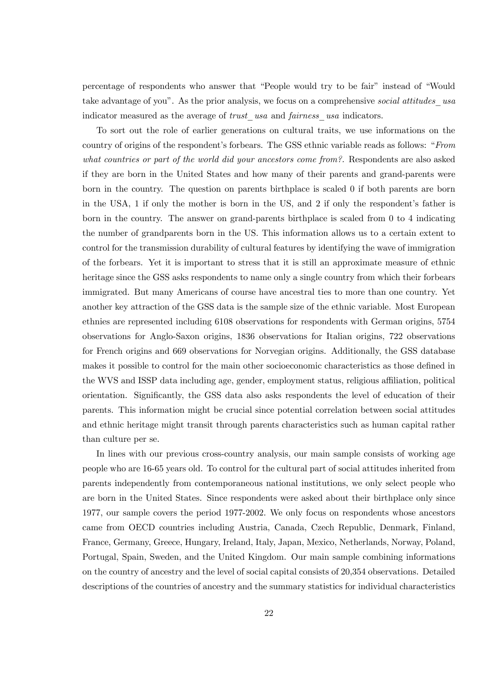percentage of respondents who answer that "People would try to be fair" instead of "Would take advantage of you". As the prior analysis, we focus on a comprehensive social attitudes usa indicator measured as the average of trust usa and fairness usa indicators.

To sort out the role of earlier generations on cultural traits, we use informations on the country of origins of the respondent's forbears. The GSS ethnic variable reads as follows: "From what countries or part of the world did your ancestors come from?. Respondents are also asked if they are born in the United States and how many of their parents and grand-parents were born in the country. The question on parents birthplace is scaled 0 if both parents are born in the USA, 1 if only the mother is born in the US, and 2 if only the respondent's father is born in the country. The answer on grand-parents birthplace is scaled from 0 to 4 indicating the number of grandparents born in the US. This information allows us to a certain extent to control for the transmission durability of cultural features by identifying the wave of immigration of the forbears. Yet it is important to stress that it is still an approximate measure of ethnic heritage since the GSS asks respondents to name only a single country from which their forbears immigrated. But many Americans of course have ancestral ties to more than one country. Yet another key attraction of the GSS data is the sample size of the ethnic variable. Most European ethnies are represented including 6108 observations for respondents with German origins, 5754 observations for Anglo-Saxon origins, 1836 observations for Italian origins, 722 observations for French origins and 669 observations for Norvegian origins. Additionally, the GSS database makes it possible to control for the main other socioeconomic characteristics as those defined in the WVS and ISSP data including age, gender, employment status, religious affiliation, political orientation. Significantly, the GSS data also asks respondents the level of education of their parents. This information might be crucial since potential correlation between social attitudes and ethnic heritage might transit through parents characteristics such as human capital rather than culture per se.

In lines with our previous cross-country analysis, our main sample consists of working age people who are 16-65 years old. To control for the cultural part of social attitudes inherited from parents independently from contemporaneous national institutions, we only select people who are born in the United States. Since respondents were asked about their birthplace only since 1977, our sample covers the period 1977-2002. We only focus on respondents whose ancestors came from OECD countries including Austria, Canada, Czech Republic, Denmark, Finland, France, Germany, Greece, Hungary, Ireland, Italy, Japan, Mexico, Netherlands, Norway, Poland, Portugal, Spain, Sweden, and the United Kingdom. Our main sample combining informations on the country of ancestry and the level of social capital consists of 20,354 observations. Detailed descriptions of the countries of ancestry and the summary statistics for individual characteristics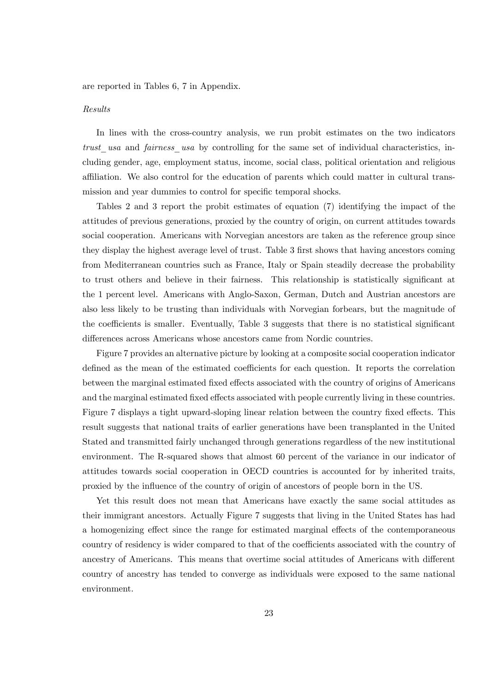are reported in Tables 6, 7 in Appendix.

#### Results

In lines with the cross-country analysis, we run probit estimates on the two indicators trust usa and fairness usa by controlling for the same set of individual characteristics, including gender, age, employment status, income, social class, political orientation and religious affiliation. We also control for the education of parents which could matter in cultural transmission and year dummies to control for specific temporal shocks.

Tables 2 and 3 report the probit estimates of equation (7) identifying the impact of the attitudes of previous generations, proxied by the country of origin, on current attitudes towards social cooperation. Americans with Norvegian ancestors are taken as the reference group since they display the highest average level of trust. Table 3 first shows that having ancestors coming from Mediterranean countries such as France, Italy or Spain steadily decrease the probability to trust others and believe in their fairness. This relationship is statistically significant at the 1 percent level. Americans with Anglo-Saxon, German, Dutch and Austrian ancestors are also less likely to be trusting than individuals with Norvegian forbears, but the magnitude of the coefficients is smaller. Eventually, Table 3 suggests that there is no statistical significant differences across Americans whose ancestors came from Nordic countries.

Figure 7 provides an alternative picture by looking at a composite social cooperation indicator defined as the mean of the estimated coefficients for each question. It reports the correlation between the marginal estimated fixed effects associated with the country of origins of Americans and the marginal estimated fixed effects associated with people currently living in these countries. Figure 7 displays a tight upward-sloping linear relation between the country fixed effects. This result suggests that national traits of earlier generations have been transplanted in the United Stated and transmitted fairly unchanged through generations regardless of the new institutional environment. The R-squared shows that almost 60 percent of the variance in our indicator of attitudes towards social cooperation in OECD countries is accounted for by inherited traits, proxied by the influence of the country of origin of ancestors of people born in the US.

Yet this result does not mean that Americans have exactly the same social attitudes as their immigrant ancestors. Actually Figure 7 suggests that living in the United States has had a homogenizing effect since the range for estimated marginal effects of the contemporaneous country of residency is wider compared to that of the coefficients associated with the country of ancestry of Americans. This means that overtime social attitudes of Americans with different country of ancestry has tended to converge as individuals were exposed to the same national environment.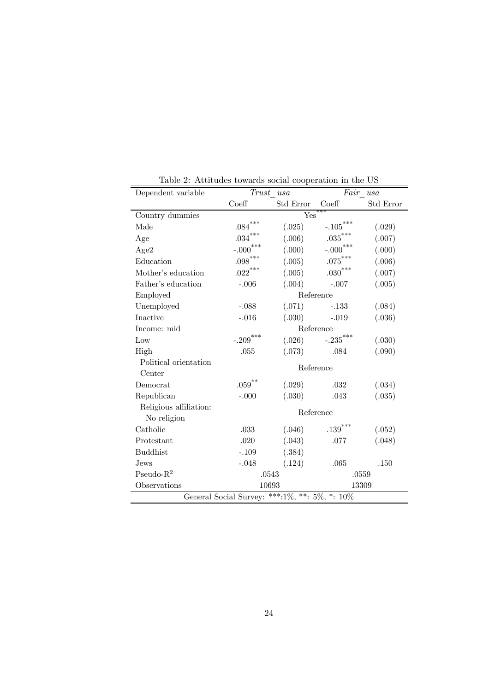| Dependent variable                            |                       | Trust usa |                        | $Fair\_usa$ |  |  |
|-----------------------------------------------|-----------------------|-----------|------------------------|-------------|--|--|
|                                               | Coeff                 | Std Error | Coeff                  | Std Error   |  |  |
| Country dummies                               |                       | Yes       | ***                    |             |  |  |
| Male                                          | ***<br>.084           | (.025)    | $-.105***$             | (.029)      |  |  |
| Age                                           | $.034^{***}\,$        | (.006)    | $.035^\mathrm{***}$    | (.007)      |  |  |
| Age2                                          | $-.000***$            | (000)     | $-.000$ <sup>***</sup> | (.000)      |  |  |
| Education                                     | $.098^{\ast\ast\ast}$ | (.005)    | $.075^\mathrm{***}$    | (.006)      |  |  |
| Mother's education                            | $.022***$             | (.005)    | $.030^{***}\,$         | (.007)      |  |  |
| Father's education                            | $-.006$               | (.004)    | $-.007$                | (.005)      |  |  |
| Employed                                      |                       |           | Reference              |             |  |  |
| Unemployed                                    | $-.088$               | (.071)    | $-.133$                | (.084)      |  |  |
| Inactive                                      | $-.016$               | (.030)    | $-.019$                | (.036)      |  |  |
| Income: mid                                   |                       |           | Reference              |             |  |  |
| Low                                           | $-.209***$            | (.026)    | $\textbf{-.235}^{***}$ | (.030)      |  |  |
| High                                          | .055                  | (.073)    | .084                   | (.090)      |  |  |
| Political orientation                         | Reference             |           |                        |             |  |  |
| Center                                        |                       |           |                        |             |  |  |
| Democrat                                      | $.059^{**}$           | (.029)    | .032                   | (.034)      |  |  |
| Republican                                    | $-.000$               | (.030)    | .043                   | (.035)      |  |  |
| Religious affiliation:                        |                       |           | Reference              |             |  |  |
| No religion                                   |                       |           |                        |             |  |  |
| Catholic                                      | .033                  | (.046)    | $\mathbf{.139}^{***}$  | (.052)      |  |  |
| Protestant                                    | .020                  | (.043)    | .077                   | (.048)      |  |  |
| <b>Buddhist</b>                               | $-.109$               | (.384)    |                        |             |  |  |
| Jews                                          | $-.048$               | (.124)    | .065                   | .150        |  |  |
| $Pseudo-R2$                                   |                       | .0543     |                        | .0559       |  |  |
| Observations                                  |                       | 10693     | 13309                  |             |  |  |
| General Social Survey: ***:1%, **: 5%, *: 10% |                       |           |                        |             |  |  |

Table 2: Attitudes towards social cooperation in the US

 $=$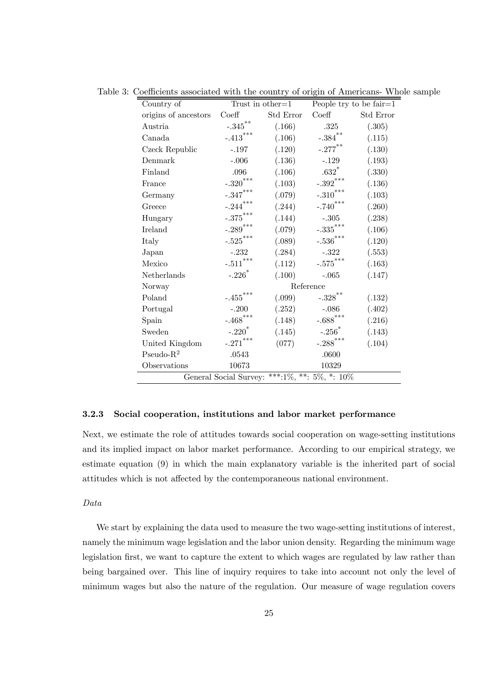| Country of           |                                 | Trust in other $=1$                              |                                | People try to be fair $=1$ |
|----------------------|---------------------------------|--------------------------------------------------|--------------------------------|----------------------------|
| origins of ancestors | $\mathrm{Coeff}$                | Std Error                                        | Coeff                          | Std Error                  |
| Austria              | $\textbf{-.345}^{\ast\ast}$     | (.166)                                           | .325                           | (.305)                     |
| Canada               | $\textbf{-.413}^{***}$          | (.106)                                           | $\textbf{-.384}^{**}$          | (.115)                     |
| Czeck Republic       | $-.197$                         | (.120)                                           | $-.277$ <sup>**</sup>          | (.130)                     |
| Denmark              | $-.006$                         | (.136)                                           | $-.129$                        | (.193)                     |
| Finland              | .096                            | (.106)                                           | $.632$ $*$                     | (.330)                     |
| France               | $-.320^{***}\,$                 | (.103)                                           | $-.392$ ***                    | (.136)                     |
| Germany              | $-.347^{\ast\ast\ast}$          | (.079)                                           | $-.310***$                     | (.103)                     |
| Greece               | $-.244***$                      | (.244)                                           | $-.740$ ***                    | (.260)                     |
| Hungary              | $\textbf{-.375}^{\ast\ast\ast}$ | (.144)                                           | $-.305$                        | (.238)                     |
| Ireland              | $-.289^{***}$                   | (.079)                                           | $\textbf{-.335}^{***}$         | (.106)                     |
| Italy                | $-.525^{***}\,$                 | (.089)                                           | $-.536^{***}\,$                | (.120)                     |
| Japan                | $-.232$                         | (.284)                                           | $-.322$                        | (.553)                     |
| Mexico               | $-.511***$                      | (.112)                                           | $-.575***$                     | (.163)                     |
| Netherlands          | $-.226*$                        |                                                  | $(.100)$ $-.065$               | (.147)                     |
| Norway               |                                 |                                                  | Reference                      |                            |
| Poland               | $\textbf{-.455}^{***}$          |                                                  | $(.099)$ $-.328$ <sup>**</sup> | (.132)                     |
| Portugal             | $-.200$                         | (.252)                                           | $-.086$                        | (.402)                     |
| Spain                | $-.468$ ***                     | (.148)                                           | $-.688$ ***                    | (.216)                     |
| Sweden               | $-.220$ <sup>*</sup>            | (.145)                                           | $-.256$ <sup>*</sup>           | (.143)                     |
| United Kingdom       | $-.271$ ***                     | (077)                                            | $-.288$ ***                    | (.104)                     |
| Pseudo- $R^2$        | .0543                           |                                                  | .0600                          |                            |
| Observations         | 10673                           |                                                  | 10329                          |                            |
|                      |                                 | General Social Survey: ***:1\%, **: 5\%, *: 10\% |                                |                            |

Table 3: Coefficients associated with the country of origin of Americans- Whole sample

#### 3.2.3 Social cooperation, institutions and labor market performance

Next, we estimate the role of attitudes towards social cooperation on wage-setting institutions and its implied impact on labor market performance. According to our empirical strategy, we estimate equation (9) in which the main explanatory variable is the inherited part of social attitudes which is not affected by the contemporaneous national environment.

#### Data

We start by explaining the data used to measure the two wage-setting institutions of interest, namely the minimum wage legislation and the labor union density. Regarding the minimum wage legislation first, we want to capture the extent to which wages are regulated by law rather than being bargained over. This line of inquiry requires to take into account not only the level of minimum wages but also the nature of the regulation. Our measure of wage regulation covers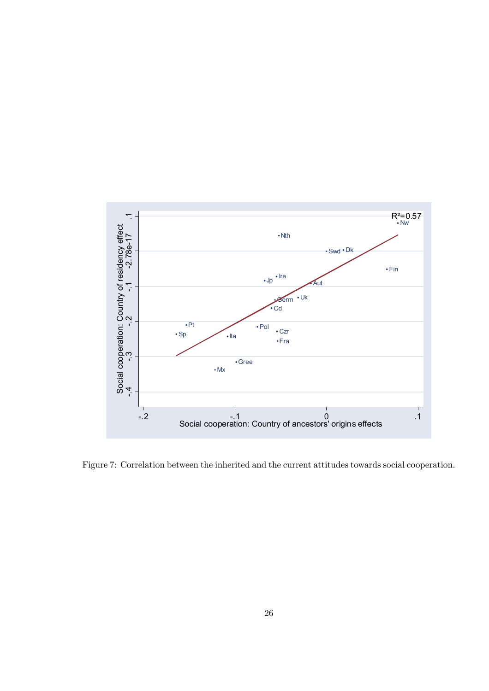

Figure 7: Correlation between the inherited and the current attitudes towards social cooperation.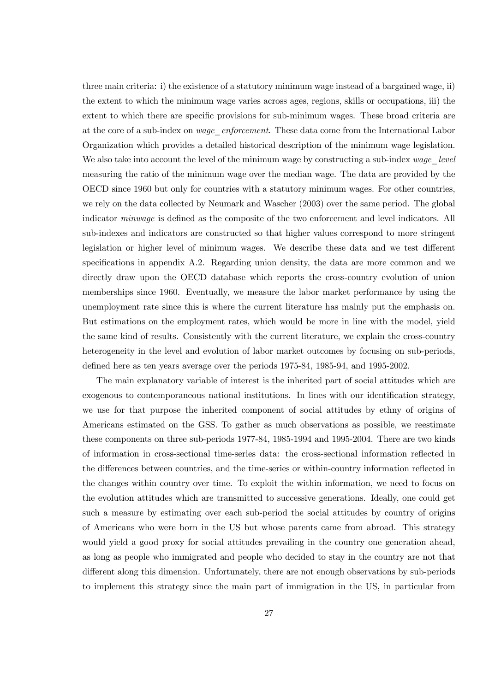three main criteria: i) the existence of a statutory minimum wage instead of a bargained wage, ii) the extent to which the minimum wage varies across ages, regions, skills or occupations, iii) the extent to which there are specific provisions for sub-minimum wages. These broad criteria are at the core of a sub-index on *wage enforcement*. These data come from the International Labor Organization which provides a detailed historical description of the minimum wage legislation. We also take into account the level of the minimum wage by constructing a sub-index wage level measuring the ratio of the minimum wage over the median wage. The data are provided by the OECD since 1960 but only for countries with a statutory minimum wages. For other countries, we rely on the data collected by Neumark and Wascher (2003) over the same period. The global indicator *minwage* is defined as the composite of the two enforcement and level indicators. All sub-indexes and indicators are constructed so that higher values correspond to more stringent legislation or higher level of minimum wages. We describe these data and we test different specifications in appendix A.2. Regarding union density, the data are more common and we directly draw upon the OECD database which reports the cross-country evolution of union memberships since 1960. Eventually, we measure the labor market performance by using the unemployment rate since this is where the current literature has mainly put the emphasis on. But estimations on the employment rates, which would be more in line with the model, yield the same kind of results. Consistently with the current literature, we explain the cross-country heterogeneity in the level and evolution of labor market outcomes by focusing on sub-periods, defined here as ten years average over the periods 1975-84, 1985-94, and 1995-2002.

The main explanatory variable of interest is the inherited part of social attitudes which are exogenous to contemporaneous national institutions. In lines with our identification strategy, we use for that purpose the inherited component of social attitudes by ethny of origins of Americans estimated on the GSS. To gather as much observations as possible, we reestimate these components on three sub-periods 1977-84, 1985-1994 and 1995-2004. There are two kinds of information in cross-sectional time-series data: the cross-sectional information reflected in the differences between countries, and the time-series or within-country information reflected in the changes within country over time. To exploit the within information, we need to focus on the evolution attitudes which are transmitted to successive generations. Ideally, one could get such a measure by estimating over each sub-period the social attitudes by country of origins of Americans who were born in the US but whose parents came from abroad. This strategy would yield a good proxy for social attitudes prevailing in the country one generation ahead, as long as people who immigrated and people who decided to stay in the country are not that different along this dimension. Unfortunately, there are not enough observations by sub-periods to implement this strategy since the main part of immigration in the US, in particular from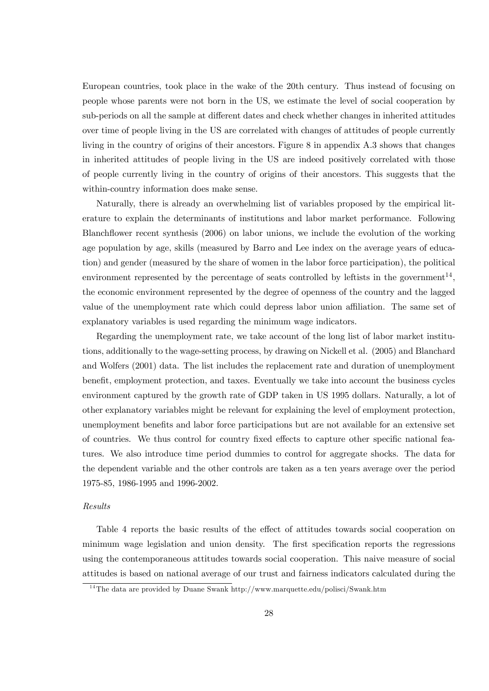European countries, took place in the wake of the 20th century. Thus instead of focusing on people whose parents were not born in the US, we estimate the level of social cooperation by sub-periods on all the sample at different dates and check whether changes in inherited attitudes over time of people living in the US are correlated with changes of attitudes of people currently living in the country of origins of their ancestors. Figure 8 in appendix A.3 shows that changes in inherited attitudes of people living in the US are indeed positively correlated with those of people currently living in the country of origins of their ancestors. This suggests that the within-country information does make sense.

Naturally, there is already an overwhelming list of variables proposed by the empirical literature to explain the determinants of institutions and labor market performance. Following Blanchflower recent synthesis (2006) on labor unions, we include the evolution of the working age population by age, skills (measured by Barro and Lee index on the average years of education) and gender (measured by the share of women in the labor force participation), the political environment represented by the percentage of seats controlled by leftists in the government<sup>14</sup>, the economic environment represented by the degree of openness of the country and the lagged value of the unemployment rate which could depress labor union affiliation. The same set of explanatory variables is used regarding the minimum wage indicators.

Regarding the unemployment rate, we take account of the long list of labor market institutions, additionally to the wage-setting process, by drawing on Nickell et al. (2005) and Blanchard and Wolfers (2001) data. The list includes the replacement rate and duration of unemployment benefit, employment protection, and taxes. Eventually we take into account the business cycles environment captured by the growth rate of GDP taken in US 1995 dollars. Naturally, a lot of other explanatory variables might be relevant for explaining the level of employment protection, unemployment benefits and labor force participations but are not available for an extensive set of countries. We thus control for country fixed effects to capture other specific national features. We also introduce time period dummies to control for aggregate shocks. The data for the dependent variable and the other controls are taken as a ten years average over the period 1975-85, 1986-1995 and 1996-2002.

#### Results

Table 4 reports the basic results of the effect of attitudes towards social cooperation on minimum wage legislation and union density. The first specification reports the regressions using the contemporaneous attitudes towards social cooperation. This naive measure of social attitudes is based on national average of our trust and fairness indicators calculated during the

<sup>&</sup>lt;sup>14</sup>The data are provided by Duane Swank http://www.marquette.edu/polisci/Swank.htm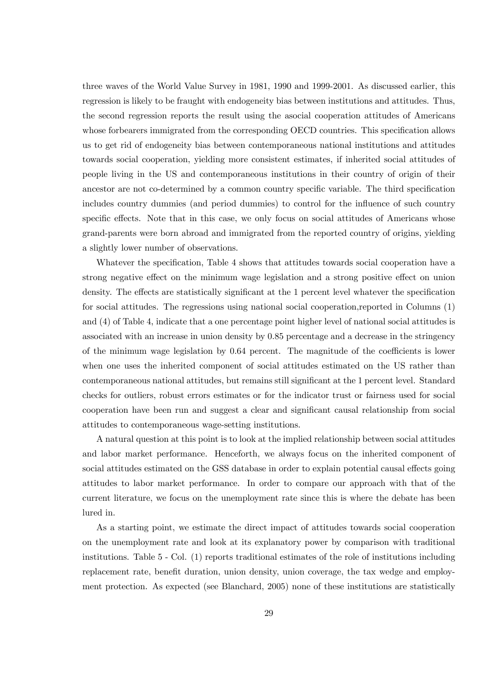three waves of the World Value Survey in 1981, 1990 and 1999-2001. As discussed earlier, this regression is likely to be fraught with endogeneity bias between institutions and attitudes. Thus, the second regression reports the result using the asocial cooperation attitudes of Americans whose forbearers immigrated from the corresponding OECD countries. This specification allows us to get rid of endogeneity bias between contemporaneous national institutions and attitudes towards social cooperation, yielding more consistent estimates, if inherited social attitudes of people living in the US and contemporaneous institutions in their country of origin of their ancestor are not co-determined by a common country specific variable. The third specification includes country dummies (and period dummies) to control for the influence of such country specific effects. Note that in this case, we only focus on social attitudes of Americans whose grand-parents were born abroad and immigrated from the reported country of origins, yielding a slightly lower number of observations.

Whatever the specification, Table 4 shows that attitudes towards social cooperation have a strong negative effect on the minimum wage legislation and a strong positive effect on union density. The effects are statistically significant at the 1 percent level whatever the specification for social attitudes. The regressions using national social cooperation,reported in Columns (1) and (4) of Table 4, indicate that a one percentage point higher level of national social attitudes is associated with an increase in union density by 0.85 percentage and a decrease in the stringency of the minimum wage legislation by 0.64 percent. The magnitude of the coefficients is lower when one uses the inherited component of social attitudes estimated on the US rather than contemporaneous national attitudes, but remains still significant at the 1 percent level. Standard checks for outliers, robust errors estimates or for the indicator trust or fairness used for social cooperation have been run and suggest a clear and significant causal relationship from social attitudes to contemporaneous wage-setting institutions.

A natural question at this point is to look at the implied relationship between social attitudes and labor market performance. Henceforth, we always focus on the inherited component of social attitudes estimated on the GSS database in order to explain potential causal effects going attitudes to labor market performance. In order to compare our approach with that of the current literature, we focus on the unemployment rate since this is where the debate has been lured in.

As a starting point, we estimate the direct impact of attitudes towards social cooperation on the unemployment rate and look at its explanatory power by comparison with traditional institutions. Table 5 - Col. (1) reports traditional estimates of the role of institutions including replacement rate, benefit duration, union density, union coverage, the tax wedge and employment protection. As expected (see Blanchard, 2005) none of these institutions are statistically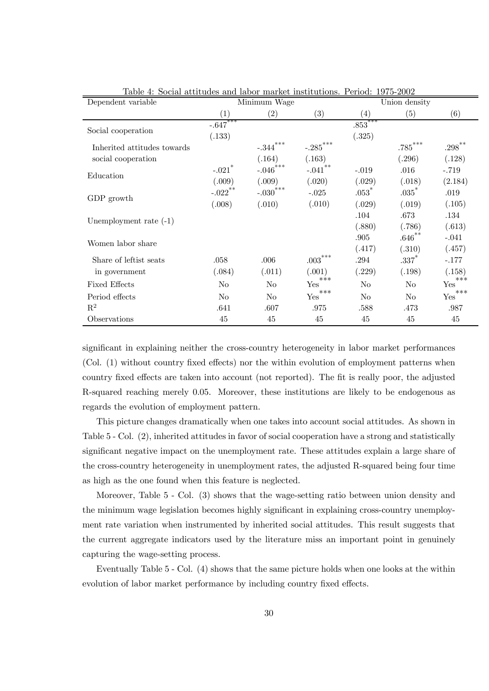| Dependent variable          |                       | Minimum Wage   |                       |                   | Union density  |                               |
|-----------------------------|-----------------------|----------------|-----------------------|-------------------|----------------|-------------------------------|
|                             | $\left( 1\right)$     | (2)            | (3)                   | $\left( 4\right)$ | (5)            | (6)                           |
|                             | $-.647$ ***           |                |                       | $.853***$         |                |                               |
| Social cooperation          | (.133)                |                |                       | (.325)            |                |                               |
| Inherited attitudes towards |                       | $-.344***$     | $-.285$ ***           |                   | $.785***$      | $.298***$                     |
| social cooperation          |                       | (.164)         | (.163)                |                   | (.296)         | (.128)                        |
| Education                   | $-.021$ <sup>*</sup>  | $-.046$ ***    | $-.041$ <sup>**</sup> | $-.019$           | .016           | $-.719$                       |
|                             | (.009)                | (.009)         | (.020)                | (.029)            | (.018)         | (2.184)                       |
|                             | $-.022$ <sup>**</sup> | $-.030***$     | $-.025$               | $.053*$           | $.035*$        | .019                          |
| GDP growth                  | (.008)                | (.010)         | (.010)                | (.029)            | (.019)         | (.105)                        |
|                             |                       |                |                       | .104              | .673           | .134                          |
| Unemployment rate $(-1)$    |                       |                |                       | (.880)            | (.786)         | (.613)                        |
| Women labor share           |                       |                |                       | .905              | $.646$ $^{**}$ | $-.041$                       |
|                             |                       |                |                       | (.417)            | (.310)         | (.457)                        |
| Share of left ist seats     | .058                  | .006           | $.003^{***}$          | .294              | $.337*$        | $-.177$                       |
| in government               | (.084)                | (.011)         | (.001)                | (.229)            | (.198)         | (.158)                        |
| <b>Fixed Effects</b>        | N <sub>o</sub>        | N <sub>o</sub> | ***<br>Yes            | N <sub>o</sub>    | N <sub>o</sub> | ***<br>Yes                    |
| Period effects              | N <sub>o</sub>        | N <sub>o</sub> | ***<br>Yes            | $\rm No$          | N <sub>o</sub> | $***$<br>$\operatorname{Yes}$ |
| $\mathbf{R}^2$              | .641                  | .607           | .975                  | .588              | .473           | .987                          |
| Observations                | 45                    | 45             | 45                    | 45                | 45             | 45                            |

Table 4: Social attitudes and labor market institutions. Period: 1975-2002

significant in explaining neither the cross-country heterogeneity in labor market performances (Col. (1) without country fixed effects) nor the within evolution of employment patterns when country fixed effects are taken into account (not reported). The fit is really poor, the adjusted R-squared reaching merely 0.05. Moreover, these institutions are likely to be endogenous as regards the evolution of employment pattern.

This picture changes dramatically when one takes into account social attitudes. As shown in Table 5 - Col. (2), inherited attitudes in favor of social cooperation have a strong and statistically significant negative impact on the unemployment rate. These attitudes explain a large share of the cross-country heterogeneity in unemployment rates, the adjusted R-squared being four time as high as the one found when this feature is neglected.

Moreover, Table 5 - Col. (3) shows that the wage-setting ratio between union density and the minimum wage legislation becomes highly significant in explaining cross-country unemployment rate variation when instrumented by inherited social attitudes. This result suggests that the current aggregate indicators used by the literature miss an important point in genuinely capturing the wage-setting process.

Eventually Table 5 - Col. (4) shows that the same picture holds when one looks at the within evolution of labor market performance by including country fixed effects.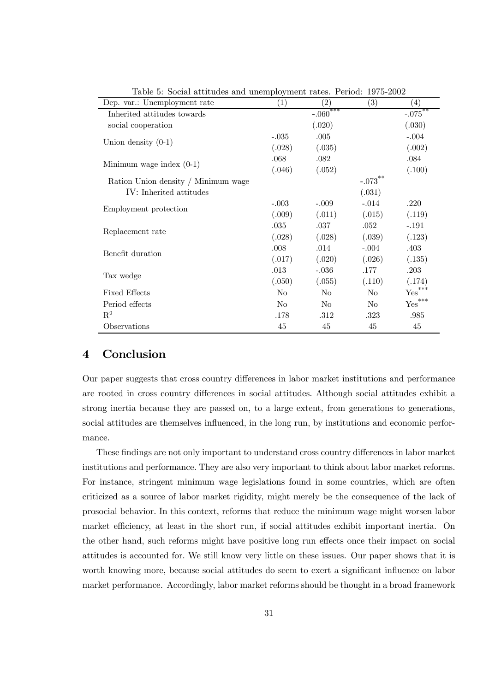| Dep. var.: Unemployment rate        | $\left(1\right)$ | $\left( 2\right)$ | $\left( 3\right)$     | $\left( 4\right)$     |
|-------------------------------------|------------------|-------------------|-----------------------|-----------------------|
| Inherited attitudes towards         |                  | $-.060$ ***       |                       | $-.075$ <sup>**</sup> |
| social cooperation                  |                  | (.020)            |                       | (.030)                |
|                                     | $-.035$          | .005              |                       | $-.004$               |
| Union density $(0-1)$               | (.028)           | (.035)            |                       | (.002)                |
|                                     | .068             | .082              |                       | .084                  |
| Minimum wage index $(0-1)$          | (.046)           | (.052)            |                       | (.100)                |
| Ration Union density / Minimum wage |                  |                   | $-.073$ <sup>**</sup> |                       |
| IV: Inherited attitudes             |                  |                   | (.031)                |                       |
|                                     | $-.003$          | $-.009$           | $-.014$               | .220                  |
| Employment protection               | (.009)           | (.011)            | (.015)                | (.119)                |
|                                     | .035             | .037              | .052                  | $-.191$               |
| Replacement rate                    | (.028)           | (.028)            | (.039)                | (.123)                |
| Benefit duration                    | .008             | .014              | $-.004$               | .403                  |
|                                     | (.017)           | (.020)            | (.026)                | (.135)                |
|                                     | .013             | $-.036$           | .177                  | $.203\,$              |
| Tax wedge                           | (.050)           | (.055)            | (.110)                | (.174)                |
| <b>Fixed Effects</b>                | No               | No                | $\rm No$              | $\mathsf{Yes}^{***}$  |
| Period effects                      | N <sub>o</sub>   | N <sub>o</sub>    | N <sub>o</sub>        | ${\rm Yes}^{***}$     |
| $\mathbb{R}^2$                      | .178             | .312              | .323                  | .985                  |
| Observations                        | 45               | 45                | 45                    | 45                    |

Table 5: Social attitudes and unemployment rates. Period: 1975-2002

# 4 Conclusion

Our paper suggests that cross country differences in labor market institutions and performance are rooted in cross country differences in social attitudes. Although social attitudes exhibit a strong inertia because they are passed on, to a large extent, from generations to generations, social attitudes are themselves influenced, in the long run, by institutions and economic performance.

These findings are not only important to understand cross country differences in labor market institutions and performance. They are also very important to think about labor market reforms. For instance, stringent minimum wage legislations found in some countries, which are often criticized as a source of labor market rigidity, might merely be the consequence of the lack of prosocial behavior. In this context, reforms that reduce the minimum wage might worsen labor market efficiency, at least in the short run, if social attitudes exhibit important inertia. On the other hand, such reforms might have positive long run effects once their impact on social attitudes is accounted for. We still know very little on these issues. Our paper shows that it is worth knowing more, because social attitudes do seem to exert a significant influence on labor market performance. Accordingly, labor market reforms should be thought in a broad framework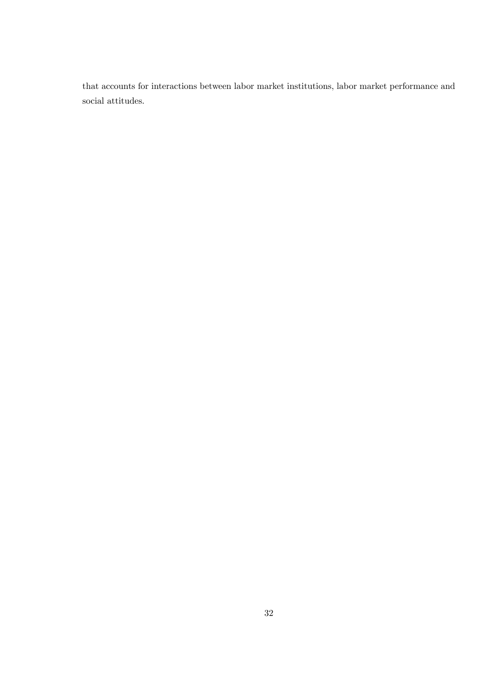that accounts for interactions between labor market institutions, labor market performance and social attitudes.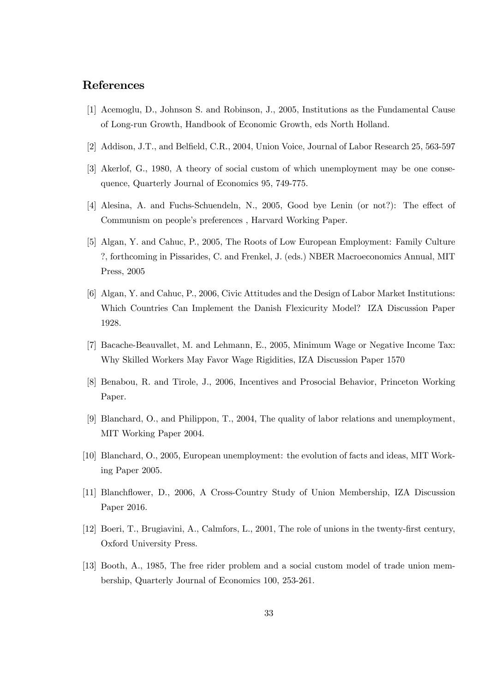# References

- [1] Acemoglu, D., Johnson S. and Robinson, J., 2005, Institutions as the Fundamental Cause of Long-run Growth, Handbook of Economic Growth, eds North Holland.
- [2] Addison, J.T., and Belfield, C.R., 2004, Union Voice, Journal of Labor Research 25, 563-597
- [3] Akerlof, G., 1980, A theory of social custom of which unemployment may be one consequence, Quarterly Journal of Economics 95, 749-775.
- [4] Alesina, A. and Fuchs-Schuendeln, N., 2005, Good bye Lenin (or not?): The effect of Communism on people's preferences , Harvard Working Paper.
- [5] Algan, Y. and Cahuc, P., 2005, The Roots of Low European Employment: Family Culture ?, forthcoming in Pissarides, C. and Frenkel, J. (eds.) NBER Macroeconomics Annual, MIT Press, 2005
- [6] Algan, Y. and Cahuc, P., 2006, Civic Attitudes and the Design of Labor Market Institutions: Which Countries Can Implement the Danish Flexicurity Model? IZA Discussion Paper 1928.
- [7] Bacache-Beauvallet, M. and Lehmann, E., 2005, Minimum Wage or Negative Income Tax: Why Skilled Workers May Favor Wage Rigidities, IZA Discussion Paper 1570
- [8] Benabou, R. and Tirole, J., 2006, Incentives and Prosocial Behavior, Princeton Working Paper.
- [9] Blanchard, O., and Philippon, T., 2004, The quality of labor relations and unemployment, MIT Working Paper 2004.
- [10] Blanchard, O., 2005, European unemployment: the evolution of facts and ideas, MIT Working Paper 2005.
- [11] Blanchflower, D., 2006, A Cross-Country Study of Union Membership, IZA Discussion Paper 2016.
- [12] Boeri, T., Brugiavini, A., Calmfors, L., 2001, The role of unions in the twenty-first century, Oxford University Press.
- [13] Booth, A., 1985, The free rider problem and a social custom model of trade union membership, Quarterly Journal of Economics 100, 253-261.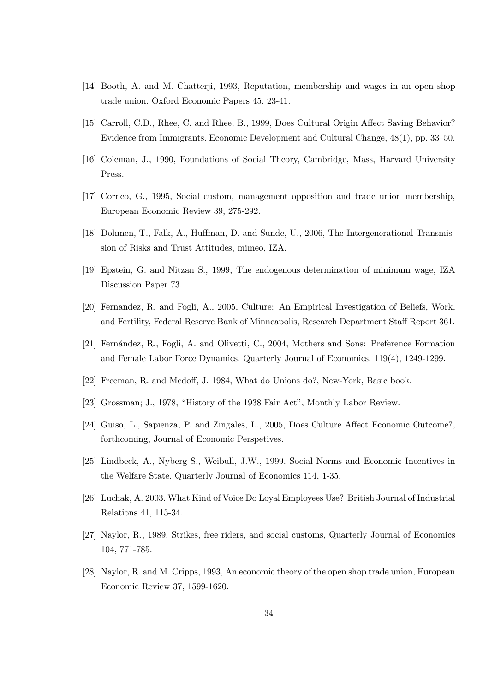- [14] Booth, A. and M. Chatterji, 1993, Reputation, membership and wages in an open shop trade union, Oxford Economic Papers 45, 23-41.
- [15] Carroll, C.D., Rhee, C. and Rhee, B., 1999, Does Cultural Origin Affect Saving Behavior? Evidence from Immigrants. Economic Development and Cultural Change, 48(1), pp. 33—50.
- [16] Coleman, J., 1990, Foundations of Social Theory, Cambridge, Mass, Harvard University Press.
- [17] Corneo, G., 1995, Social custom, management opposition and trade union membership, European Economic Review 39, 275-292.
- [18] Dohmen, T., Falk, A., Huffman, D. and Sunde, U., 2006, The Intergenerational Transmission of Risks and Trust Attitudes, mimeo, IZA.
- [19] Epstein, G. and Nitzan S., 1999, The endogenous determination of minimum wage, IZA Discussion Paper 73.
- [20] Fernandez, R. and Fogli, A., 2005, Culture: An Empirical Investigation of Beliefs, Work, and Fertility, Federal Reserve Bank of Minneapolis, Research Department Staff Report 361.
- [21] Fernández, R., Fogli, A. and Olivetti, C., 2004, Mothers and Sons: Preference Formation and Female Labor Force Dynamics, Quarterly Journal of Economics, 119(4), 1249-1299.
- [22] Freeman, R. and Medoff, J. 1984, What do Unions do?, New-York, Basic book.
- [23] Grossman; J., 1978, "History of the 1938 Fair Act", Monthly Labor Review.
- [24] Guiso, L., Sapienza, P. and Zingales, L., 2005, Does Culture Affect Economic Outcome?, forthcoming, Journal of Economic Perspetives.
- [25] Lindbeck, A., Nyberg S., Weibull, J.W., 1999. Social Norms and Economic Incentives in the Welfare State, Quarterly Journal of Economics 114, 1-35.
- [26] Luchak, A. 2003. What Kind of Voice Do Loyal Employees Use? British Journal of Industrial Relations 41, 115-34.
- [27] Naylor, R., 1989, Strikes, free riders, and social customs, Quarterly Journal of Economics 104, 771-785.
- [28] Naylor, R. and M. Cripps, 1993, An economic theory of the open shop trade union, European Economic Review 37, 1599-1620.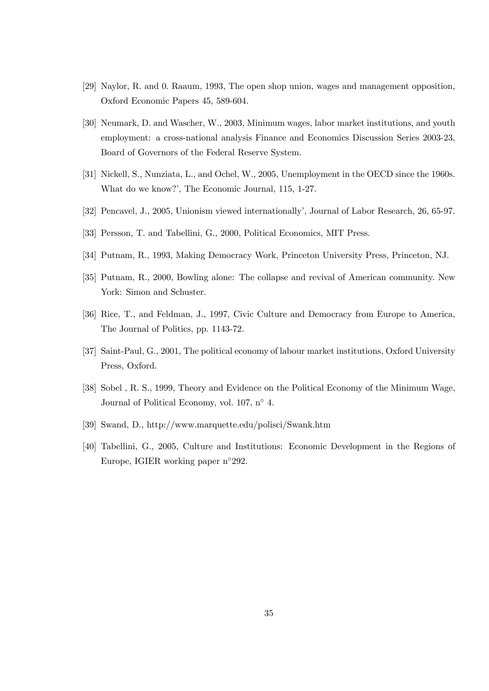- [29] Naylor, R. and 0. Raaum, 1993, The open shop union, wages and management opposition, Oxford Economic Papers 45, 589-604.
- [30] Neumark, D. and Wascher, W., 2003, Minimum wages, labor market institutions, and youth employment: a cross-national analysis Finance and Economics Discussion Series 2003-23, Board of Governors of the Federal Reserve System.
- [31] Nickell, S., Nunziata, L., and Ochel, W., 2005, Unemployment in the OECD since the 1960s. What do we know?', The Economic Journal, 115, 1-27.
- [32] Pencavel, J., 2005, Unionism viewed internationally', Journal of Labor Research, 26, 65-97.
- [33] Persson, T. and Tabellini, G., 2000, Political Economics, MIT Press.
- [34] Putnam, R., 1993, Making Democracy Work, Princeton University Press, Princeton, NJ.
- [35] Putnam, R., 2000, Bowling alone: The collapse and revival of American community. New York: Simon and Schuster.
- [36] Rice, T., and Feldman, J., 1997, Civic Culture and Democracy from Europe to America, The Journal of Politics, pp. 1143-72.
- [37] Saint-Paul, G., 2001, The political economy of labour market institutions, Oxford University Press, Oxford.
- [38] Sobel , R. S., 1999, Theory and Evidence on the Political Economy of the Minimum Wage, Journal of Political Economy, vol. 107,  $n^{\circ}$  4.
- [39] Swand, D., http://www.marquette.edu/polisci/Swank.htm
- [40] Tabellini, G., 2005, Culture and Institutions: Economic Development in the Regions of Europe, IGIER working paper n◦292.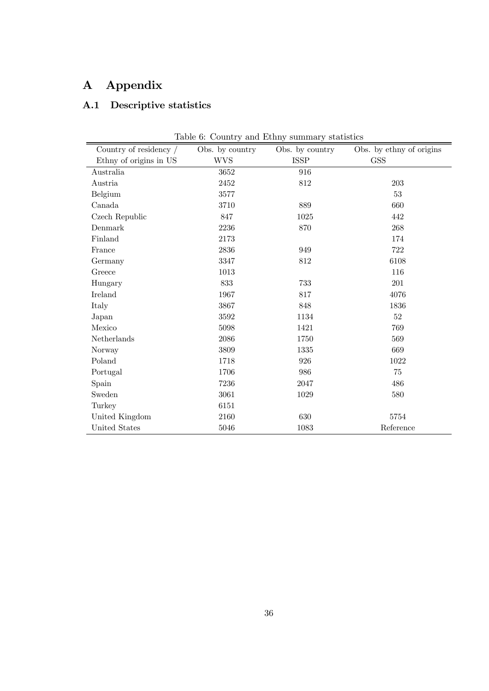# A Appendix

# A.1 Descriptive statistics

| Country of residency / | Obs. by country | Obs. by country | Obs. by ethny of origins |
|------------------------|-----------------|-----------------|--------------------------|
| Ethny of origins in US | <b>WVS</b>      | ISSP            | <b>GSS</b>               |
| Australia              | 3652            | 916             |                          |
| Austria                | 2452            | 812             | 203                      |
| Belgium                | 3577            |                 | 53                       |
| Canada                 | 3710            | 889             | 660                      |
| Czech Republic         | 847             | 1025            | 442                      |
| Denmark                | 2236            | 870             | 268                      |
| Finland                | 2173            |                 | 174                      |
| France                 | 2836            | 949             | 722                      |
| Germany                | 3347            | 812             | 6108                     |
| Greece                 | 1013            |                 | 116                      |
| Hungary                | 833             | 733             | 201                      |
| Ireland                | 1967            | 817             | 4076                     |
| Italy                  | 3867            | 848             | 1836                     |
| Japan                  | 3592            | 1134            | 52                       |
| Mexico                 | 5098            | 1421            | 769                      |
| Netherlands            | 2086            | 1750            | 569                      |
| Norway                 | 3809            | 1335            | 669                      |
| Poland                 | 1718            | 926             | 1022                     |
| Portugal               | 1706            | 986             | 75                       |
| Spain                  | 7236            | 2047            | 486                      |
| Sweden                 | 3061            | 1029            | 580                      |
| Turkey                 | 6151            |                 |                          |
| United Kingdom         | 2160            | 630             | 5754                     |
| United States          | 5046            | 1083            | Reference                |

Table 6: Country and Ethny summary statistics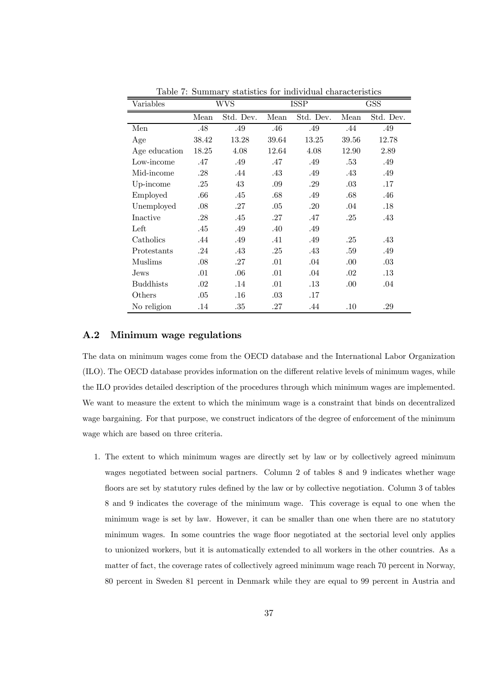| Variables        |         | WVS       |       | <b>ISSP</b> |       | <b>GSS</b> |
|------------------|---------|-----------|-------|-------------|-------|------------|
|                  | Mean    | Std. Dev. | Mean  | Std. Dev.   | Mean  | Std. Dev.  |
| Men              | .48     | .49       | .46   | .49         | .44   | .49        |
| Age              | 38.42   | 13.28     | 39.64 | 13.25       | 39.56 | 12.78      |
| Age education    | 18.25   | 4.08      | 12.64 | 4.08        | 12.90 | 2.89       |
| Low-income       | .47     | .49       | .47   | .49         | .53   | .49        |
| Mid-income       | .28     | .44       | .43   | .49         | .43   | .49        |
| Up-income        | .25     | 43        | .09   | .29         | .03   | .17        |
| Employed         | .66     | .45       | .68   | .49         | .68   | .46        |
| Unemployed       | .08     | .27       | .05   | .20         | .04   | .18        |
| Inactive         | .28     | .45       | .27   | .47         | .25   | .43        |
| Left             | .45     | .49       | .40   | .49         |       |            |
| Catholics        | .44     | .49       | .41   | .49         | .25   | .43        |
| Protestants      | .24     | .43       | .25   | .43         | .59   | .49        |
| Muslims          | .08     | .27       | .01   | .04         | .00.  | .03        |
| Jews             | .01     | .06       | .01   | .04         | .02   | .13        |
| <b>Buddhists</b> | .02     | .14       | .01   | .13         | .00.  | .04        |
| Others           | $.05\,$ | $.16\,$   | .03   | .17         |       |            |
| No religion      | .14     | .35       | .27   | .44         | .10   | .29        |

Table 7: Summary statistics for individual characteristics

#### A.2 Minimum wage regulations

The data on minimum wages come from the OECD database and the International Labor Organization (ILO). The OECD database provides information on the different relative levels of minimum wages, while the ILO provides detailed description of the procedures through which minimum wages are implemented. We want to measure the extent to which the minimum wage is a constraint that binds on decentralized wage bargaining. For that purpose, we construct indicators of the degree of enforcement of the minimum wage which are based on three criteria.

1. The extent to which minimum wages are directly set by law or by collectively agreed minimum wages negotiated between social partners. Column 2 of tables 8 and 9 indicates whether wage floors are set by statutory rules defined by the law or by collective negotiation. Column 3 of tables 8 and 9 indicates the coverage of the minimum wage. This coverage is equal to one when the minimum wage is set by law. However, it can be smaller than one when there are no statutory minimum wages. In some countries the wage floor negotiated at the sectorial level only applies to unionized workers, but it is automatically extended to all workers in the other countries. As a matter of fact, the coverage rates of collectively agreed minimum wage reach 70 percent in Norway, 80 percent in Sweden 81 percent in Denmark while they are equal to 99 percent in Austria and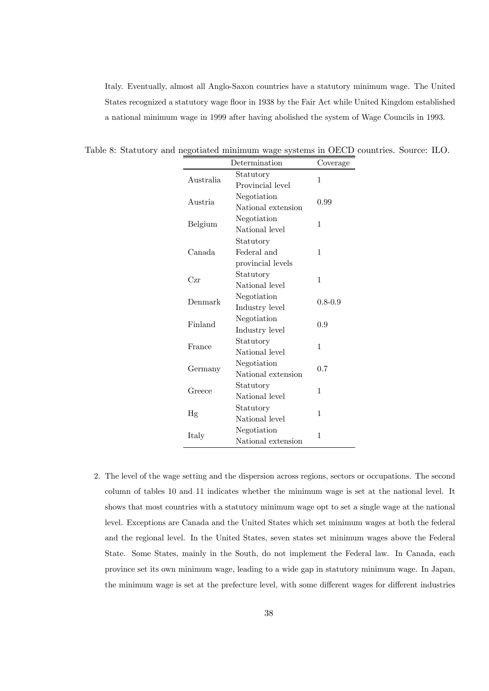Italy. Eventually, almost all Anglo-Saxon countries have a statutory minimum wage. The United States recognized a statutory wage floor in 1938 by the Fair Act while United Kingdom established a national minimum wage in 1999 after having abolished the system of Wage Councils in 1993.

|           | Determination      | Coverage    |
|-----------|--------------------|-------------|
| Australia | Statutory          | 1           |
|           | Provincial level   |             |
| Austria   | Negotiation        | 0.99        |
|           | National extension |             |
| Belgium   | Negotiation        | 1           |
|           | National level     |             |
|           | Statutory          |             |
| Canada    | Federal and        | 1           |
|           | provincial levels  |             |
| Czr       | Statutory          | 1           |
|           | National level     |             |
| Denmark   | Negotiation        | $0.8 - 0.9$ |
|           | Industry level     |             |
| Finland   | Negotiation        | 0.9         |
|           | Industry level     |             |
| France    | Statutory          | 1           |
|           | National level     |             |
| Germany   | Negotiation        | 0.7         |
|           | National extension |             |
| Greece    | Statutory          | 1           |
|           | National level     |             |
| Hg        | Statutory          | 1           |
|           | National level     |             |
|           | Negotiation        | 1           |
| Italy     | National extension |             |

Table 8: Statutory and negotiated minimum wage systems in OECD countries. Source: ILO.

2. The level of the wage setting and the dispersion across regions, sectors or occupations. The second column of tables 10 and 11 indicates whether the minimum wage is set at the national level. It shows that most countries with a statutory minimum wage opt to set a single wage at the national level. Exceptions are Canada and the United States which set minimum wages at both the federal and the regional level. In the United States, seven states set minimum wages above the Federal State. Some States, mainly in the South, do not implement the Federal law. In Canada, each province set its own minimum wage, leading to a wide gap in statutory minimum wage. In Japan, the minimum wage is set at the prefecture level, with some different wages for different industries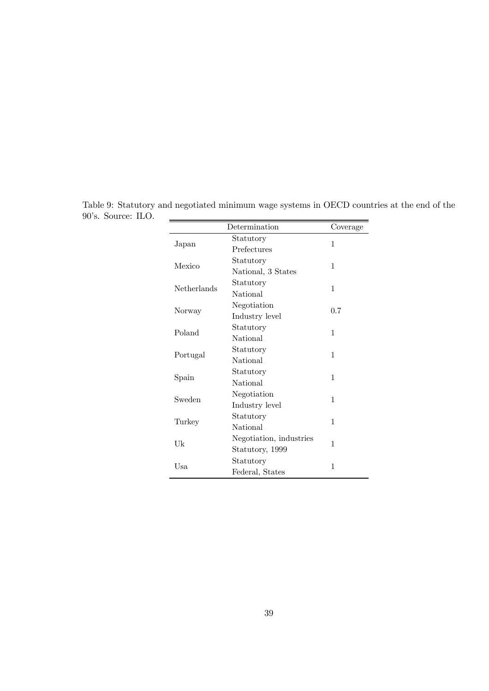|             | Determination           | Coverage |
|-------------|-------------------------|----------|
|             | Statutory               | 1        |
| Japan       | Prefectures             |          |
| Mexico      | Statutory               | 1        |
|             | National, 3 States      |          |
| Netherlands | Statutory               | 1        |
|             | National                |          |
|             | Negotiation             |          |
| Norway      | Industry level          | 0.7      |
| Poland      | Statutory               | 1        |
|             | National                |          |
|             | Statutory               | 1        |
| Portugal    | <b>National</b>         |          |
|             | Statutory               | 1        |
| Spain       | National                |          |
| Sweden      | Negotiation             | 1        |
|             | Industry level          |          |
|             | Statutory               | 1        |
| Turkey      | <b>National</b>         |          |
|             | Negotiation, industries |          |
| Uk          | Statutory, 1999         | 1        |
|             | Statutory               |          |
| Usa         | Federal, States         | 1        |

Table 9: Statutory and negotiated minimum wage systems in OECD countries at the end of the 90's. Source: ILO.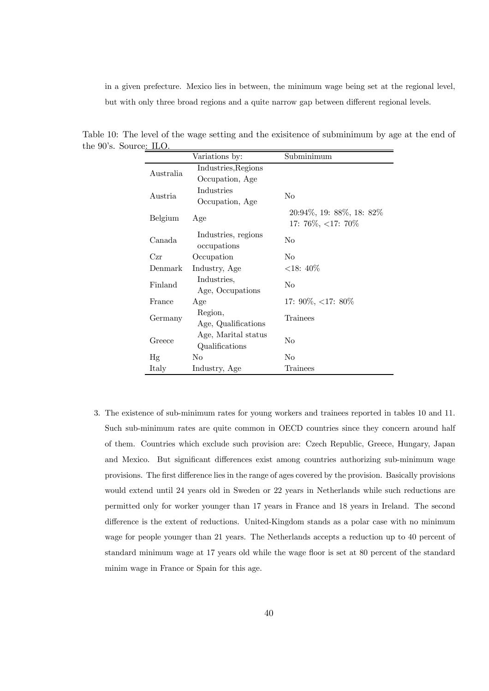in a given prefecture. Mexico lies in between, the minimum wage being set at the regional level, but with only three broad regions and a quite narrow gap between different regional levels.

|           | Variations by:      | Subminimum                                         |
|-----------|---------------------|----------------------------------------------------|
| Australia | Industries, Regions |                                                    |
|           | Occupation, Age     |                                                    |
| Austria   | Industries          | No                                                 |
|           | Occupation, Age     |                                                    |
| Belgium   | Age                 | 20:94\%, 19: 88\%, 18: 82\%<br>17: 76\%, <17: 70\% |
| Canada    | Industries, regions | No                                                 |
|           | occupations         |                                                    |
| Czr       | Occupation          | No                                                 |
| Denmark   | Industry, Age       | $<18:40\%$                                         |
| Finland   | Industries,         | No                                                 |
|           | Age, Occupations    |                                                    |
| France    | Age                 | 17: 90\%, <17: 80\%                                |
| Germany   | Region,             | Trainees                                           |
|           | Age, Qualifications |                                                    |
| Greece    | Age, Marital status | No                                                 |
|           | Qualifications      |                                                    |
| Hg        | No                  | No                                                 |
| Italy     | Industry, Age       | Trainees                                           |

Table 10: The level of the wage setting and the exisitence of subminimum by age at the end of the 90's. Source: ILO.

3. The existence of sub-minimum rates for young workers and trainees reported in tables 10 and 11. Such sub-minimum rates are quite common in OECD countries since they concern around half of them. Countries which exclude such provision are: Czech Republic, Greece, Hungary, Japan and Mexico. But significant differences exist among countries authorizing sub-minimum wage provisions. The first difference lies in the range of ages covered by the provision. Basically provisions would extend until 24 years old in Sweden or 22 years in Netherlands while such reductions are permitted only for worker younger than 17 years in France and 18 years in Ireland. The second difference is the extent of reductions. United-Kingdom stands as a polar case with no minimum wage for people younger than 21 years. The Netherlands accepts a reduction up to 40 percent of standard minimum wage at 17 years old while the wage floor is set at 80 percent of the standard minim wage in France or Spain for this age.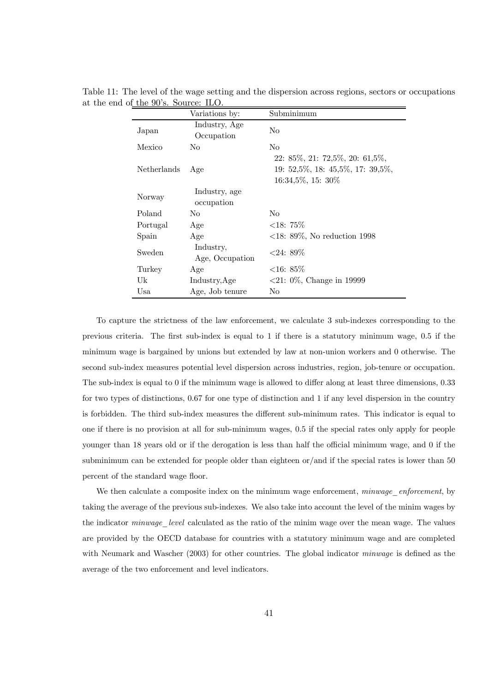|               | Variations by:               | Subminimum                                                                                        |
|---------------|------------------------------|---------------------------------------------------------------------------------------------------|
| Japan         | Industry, Age<br>Occupation  | No                                                                                                |
| Mexico        | N <sub>0</sub>               | N <sub>0</sub>                                                                                    |
| Netherlands   | Age                          | $22: 85\%, 21: 72,5\%, 20: 61,5\%,$<br>$19: 52,5\%, 18: 45,5\%, 17: 39,5\%,$<br>16:34,5%, 15: 30% |
| Norway        | Industry, age<br>occupation  |                                                                                                   |
| Poland        | N <sub>0</sub>               | N <sub>0</sub>                                                                                    |
| Portugal      | Age                          | ${<}18:75\%$                                                                                      |
| Spain         | Age                          | $<18: 89\%$ , No reduction 1998                                                                   |
| <b>Sweden</b> | Industry,<br>Age, Occupation | $<24$ : 89\%                                                                                      |
| Turkey        | Age                          | ${<}16:85\%$                                                                                      |
| Uk            | Industry, Age                | $\langle 21: 0\%, \text{Change in } 19999 \rangle$                                                |
| Usa           | Age, Job tenure              | No                                                                                                |

Table 11: The level of the wage setting and the dispersion across regions, sectors or occupations at the end of the 90's. Source: ILO.

To capture the strictness of the law enforcement, we calculate 3 sub-indexes corresponding to the previous criteria. The first sub-index is equal to 1 if there is a statutory minimum wage, 0.5 if the minimum wage is bargained by unions but extended by law at non-union workers and 0 otherwise. The second sub-index measures potential level dispersion across industries, region, job-tenure or occupation. The sub-index is equal to 0 if the minimum wage is allowed to differ along at least three dimensions, 0.33 for two types of distinctions, 0.67 for one type of distinction and 1 if any level dispersion in the country is forbidden. The third sub-index measures the different sub-minimum rates. This indicator is equal to one if there is no provision at all for sub-minimum wages, 0.5 if the special rates only apply for people younger than 18 years old or if the derogation is less than half the official minimum wage, and 0 if the subminimum can be extended for people older than eighteen or/and if the special rates is lower than 50 percent of the standard wage floor.

We then calculate a composite index on the minimum wage enforcement, minwage enforcement, by taking the average of the previous sub-indexes. We also take into account the level of the minim wages by the indicator *minwage* level calculated as the ratio of the minim wage over the mean wage. The values are provided by the OECD database for countries with a statutory minimum wage and are completed with Neumark and Wascher (2003) for other countries. The global indicator *minwage* is defined as the average of the two enforcement and level indicators.